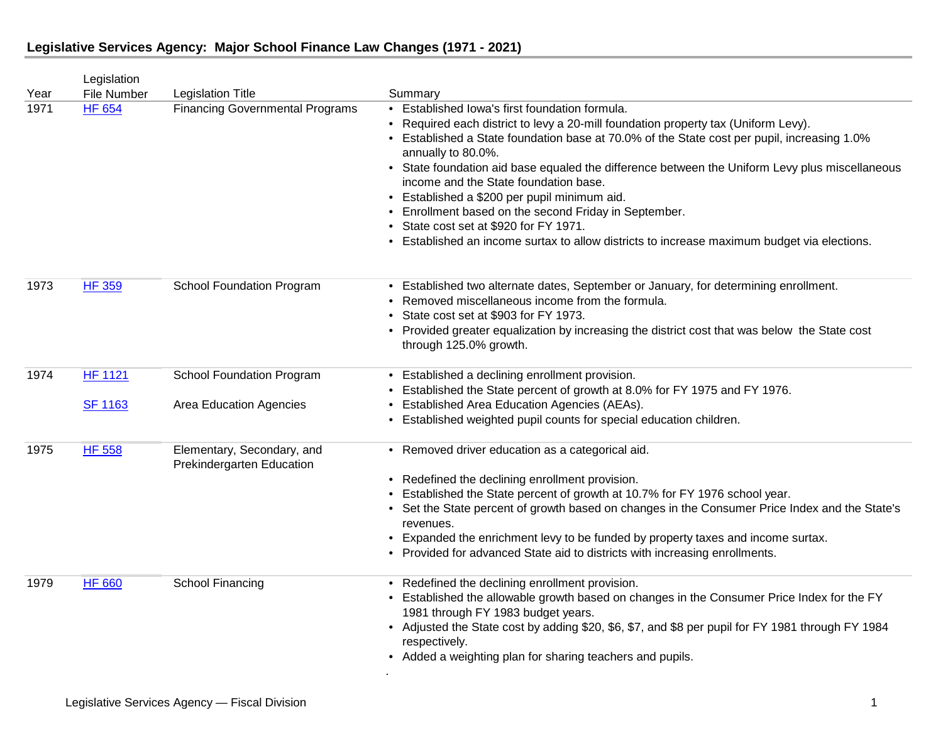| Year | Legislation<br><b>File Number</b> | <b>Legislation Title</b>                                    | Summary                                                                                                                                                                                                                                                                                                                                                                                                                                                                                                                                                                                                                                                |
|------|-----------------------------------|-------------------------------------------------------------|--------------------------------------------------------------------------------------------------------------------------------------------------------------------------------------------------------------------------------------------------------------------------------------------------------------------------------------------------------------------------------------------------------------------------------------------------------------------------------------------------------------------------------------------------------------------------------------------------------------------------------------------------------|
| 1971 | <b>HF 654</b>                     | <b>Financing Governmental Programs</b>                      | • Established Iowa's first foundation formula.<br>• Required each district to levy a 20-mill foundation property tax (Uniform Levy).<br>• Established a State foundation base at 70.0% of the State cost per pupil, increasing 1.0%<br>annually to 80.0%.<br>• State foundation aid base equaled the difference between the Uniform Levy plus miscellaneous<br>income and the State foundation base.<br>• Established a \$200 per pupil minimum aid.<br>• Enrollment based on the second Friday in September.<br>• State cost set at \$920 for FY 1971.<br>• Established an income surtax to allow districts to increase maximum budget via elections. |
| 1973 | <b>HF 359</b>                     | <b>School Foundation Program</b>                            | • Established two alternate dates, September or January, for determining enrollment.<br>• Removed miscellaneous income from the formula.<br>• State cost set at \$903 for FY 1973.<br>• Provided greater equalization by increasing the district cost that was below the State cost<br>through 125.0% growth.                                                                                                                                                                                                                                                                                                                                          |
| 1974 | <b>HF 1121</b><br><b>SF 1163</b>  | <b>School Foundation Program</b><br>Area Education Agencies | • Established a declining enrollment provision.<br>• Established the State percent of growth at 8.0% for FY 1975 and FY 1976.<br>• Established Area Education Agencies (AEAs).<br>• Established weighted pupil counts for special education children.                                                                                                                                                                                                                                                                                                                                                                                                  |
| 1975 | <b>HF 558</b>                     | Elementary, Secondary, and<br>Prekindergarten Education     | • Removed driver education as a categorical aid.<br>• Redefined the declining enrollment provision.<br>• Established the State percent of growth at 10.7% for FY 1976 school year.<br>• Set the State percent of growth based on changes in the Consumer Price Index and the State's<br>revenues.<br>• Expanded the enrichment levy to be funded by property taxes and income surtax.<br>• Provided for advanced State aid to districts with increasing enrollments.                                                                                                                                                                                   |
| 1979 | <b>HF 660</b>                     | School Financing                                            | • Redefined the declining enrollment provision.<br>• Established the allowable growth based on changes in the Consumer Price Index for the FY<br>1981 through FY 1983 budget years.<br>• Adjusted the State cost by adding \$20, \$6, \$7, and \$8 per pupil for FY 1981 through FY 1984<br>respectively.<br>• Added a weighting plan for sharing teachers and pupils.                                                                                                                                                                                                                                                                                 |

.

## **Legislative Services Agency: Major School Finance Law Changes (1971 - 2021)**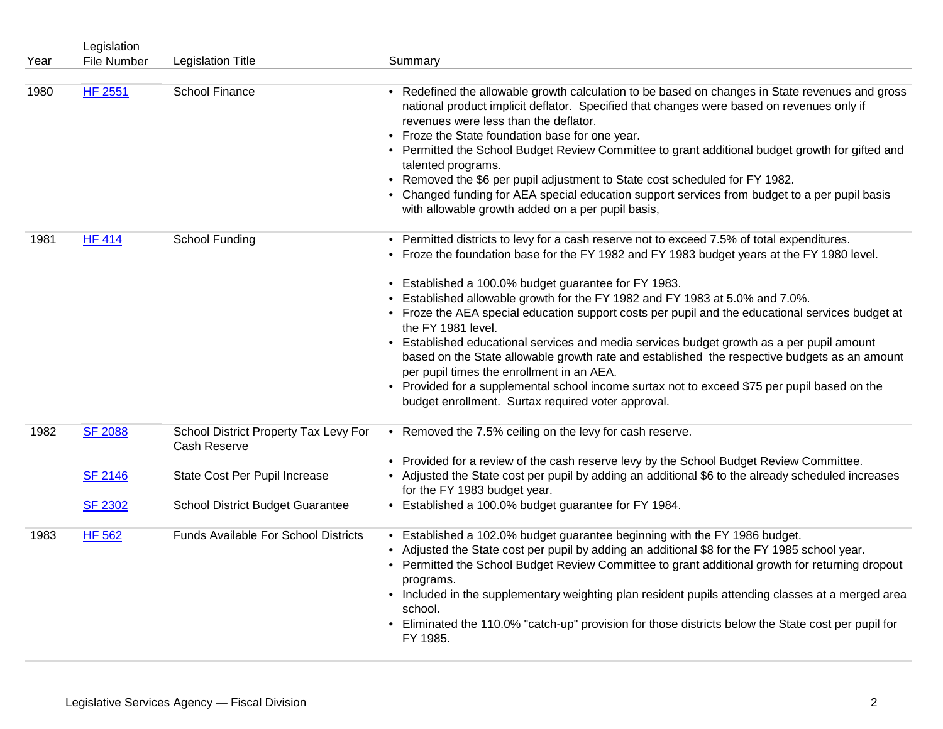|      | Legislation    |                                                       |                                                                                                                                                                                                                                                                                                                                                                                                                                                                                                                                                                                                                                                      |
|------|----------------|-------------------------------------------------------|------------------------------------------------------------------------------------------------------------------------------------------------------------------------------------------------------------------------------------------------------------------------------------------------------------------------------------------------------------------------------------------------------------------------------------------------------------------------------------------------------------------------------------------------------------------------------------------------------------------------------------------------------|
| Year | File Number    | <b>Legislation Title</b>                              | Summary                                                                                                                                                                                                                                                                                                                                                                                                                                                                                                                                                                                                                                              |
| 1980 | <b>HF 2551</b> | School Finance                                        | • Redefined the allowable growth calculation to be based on changes in State revenues and gross<br>national product implicit deflator. Specified that changes were based on revenues only if<br>revenues were less than the deflator.<br>• Froze the State foundation base for one year.<br>• Permitted the School Budget Review Committee to grant additional budget growth for gifted and<br>talented programs.<br>Removed the \$6 per pupil adjustment to State cost scheduled for FY 1982.<br>• Changed funding for AEA special education support services from budget to a per pupil basis<br>with allowable growth added on a per pupil basis, |
| 1981 | <b>HF 414</b>  | School Funding                                        | • Permitted districts to levy for a cash reserve not to exceed 7.5% of total expenditures.<br>• Froze the foundation base for the FY 1982 and FY 1983 budget years at the FY 1980 level.                                                                                                                                                                                                                                                                                                                                                                                                                                                             |
|      |                |                                                       | • Established a 100.0% budget guarantee for FY 1983.<br>Established allowable growth for the FY 1982 and FY 1983 at 5.0% and 7.0%.<br>• Froze the AEA special education support costs per pupil and the educational services budget at<br>the FY 1981 level.                                                                                                                                                                                                                                                                                                                                                                                         |
|      |                |                                                       | • Established educational services and media services budget growth as a per pupil amount<br>based on the State allowable growth rate and established the respective budgets as an amount<br>per pupil times the enrollment in an AEA.                                                                                                                                                                                                                                                                                                                                                                                                               |
|      |                |                                                       | • Provided for a supplemental school income surtax not to exceed \$75 per pupil based on the<br>budget enrollment. Surtax required voter approval.                                                                                                                                                                                                                                                                                                                                                                                                                                                                                                   |
| 1982 | <b>SF 2088</b> | School District Property Tax Levy For<br>Cash Reserve | • Removed the 7.5% ceiling on the levy for cash reserve.                                                                                                                                                                                                                                                                                                                                                                                                                                                                                                                                                                                             |
|      | <b>SF 2146</b> | State Cost Per Pupil Increase                         | • Provided for a review of the cash reserve levy by the School Budget Review Committee.<br>• Adjusted the State cost per pupil by adding an additional \$6 to the already scheduled increases<br>for the FY 1983 budget year.                                                                                                                                                                                                                                                                                                                                                                                                                        |
|      | <b>SF 2302</b> | <b>School District Budget Guarantee</b>               | • Established a 100.0% budget guarantee for FY 1984.                                                                                                                                                                                                                                                                                                                                                                                                                                                                                                                                                                                                 |
| 1983 | HF 562         | <b>Funds Available For School Districts</b>           | • Established a 102.0% budget guarantee beginning with the FY 1986 budget.<br>• Adjusted the State cost per pupil by adding an additional \$8 for the FY 1985 school year.<br>• Permitted the School Budget Review Committee to grant additional growth for returning dropout<br>programs.<br>• Included in the supplementary weighting plan resident pupils attending classes at a merged area<br>school.<br>• Eliminated the 110.0% "catch-up" provision for those districts below the State cost per pupil for<br>FY 1985.                                                                                                                        |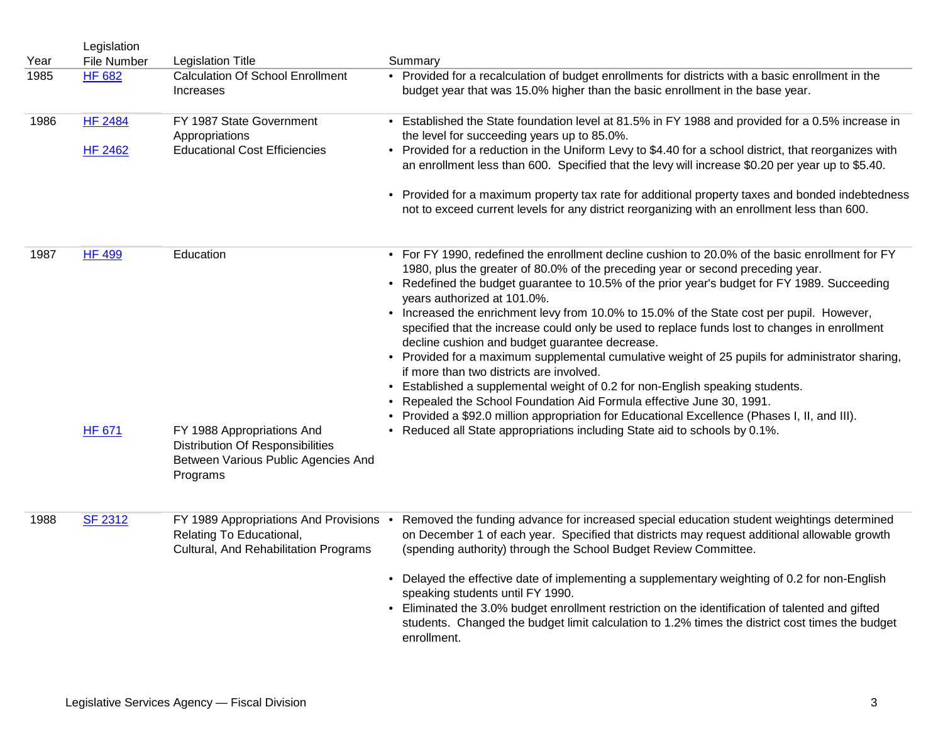|      | Legislation    |                                                                                                                   |                                                                                                                                                                                                                                                                                                                                                                                             |
|------|----------------|-------------------------------------------------------------------------------------------------------------------|---------------------------------------------------------------------------------------------------------------------------------------------------------------------------------------------------------------------------------------------------------------------------------------------------------------------------------------------------------------------------------------------|
| Year | File Number    | <b>Legislation Title</b>                                                                                          | Summary                                                                                                                                                                                                                                                                                                                                                                                     |
| 1985 | <b>HF 682</b>  | <b>Calculation Of School Enrollment</b><br>Increases                                                              | • Provided for a recalculation of budget enrollments for districts with a basic enrollment in the<br>budget year that was 15.0% higher than the basic enrollment in the base year.                                                                                                                                                                                                          |
| 1986 | <b>HF 2484</b> | FY 1987 State Government<br>Appropriations                                                                        | • Established the State foundation level at 81.5% in FY 1988 and provided for a 0.5% increase in<br>the level for succeeding years up to 85.0%.                                                                                                                                                                                                                                             |
|      | <b>HF 2462</b> | <b>Educational Cost Efficiencies</b>                                                                              | • Provided for a reduction in the Uniform Levy to \$4.40 for a school district, that reorganizes with<br>an enrollment less than 600. Specified that the levy will increase \$0.20 per year up to \$5.40.                                                                                                                                                                                   |
|      |                |                                                                                                                   | • Provided for a maximum property tax rate for additional property taxes and bonded indebtedness<br>not to exceed current levels for any district reorganizing with an enrollment less than 600.                                                                                                                                                                                            |
| 1987 | <b>HF 499</b>  | Education                                                                                                         | • For FY 1990, redefined the enrollment decline cushion to 20.0% of the basic enrollment for FY<br>1980, plus the greater of 80.0% of the preceding year or second preceding year.<br>• Redefined the budget guarantee to 10.5% of the prior year's budget for FY 1989. Succeeding<br>years authorized at 101.0%.                                                                           |
|      |                |                                                                                                                   | • Increased the enrichment levy from 10.0% to 15.0% of the State cost per pupil. However,<br>specified that the increase could only be used to replace funds lost to changes in enrollment<br>decline cushion and budget guarantee decrease.<br>• Provided for a maximum supplemental cumulative weight of 25 pupils for administrator sharing,<br>if more than two districts are involved. |
|      |                |                                                                                                                   | Established a supplemental weight of 0.2 for non-English speaking students.<br>$\bullet$<br>Repealed the School Foundation Aid Formula effective June 30, 1991.<br>Provided a \$92.0 million appropriation for Educational Excellence (Phases I, II, and III).                                                                                                                              |
|      | <b>HF 671</b>  | FY 1988 Appropriations And<br>Distribution Of Responsibilities<br>Between Various Public Agencies And<br>Programs | • Reduced all State appropriations including State aid to schools by 0.1%.                                                                                                                                                                                                                                                                                                                  |
| 1988 | <b>SF 2312</b> | FY 1989 Appropriations And Provisions .<br>Relating To Educational,<br>Cultural, And Rehabilitation Programs      | Removed the funding advance for increased special education student weightings determined<br>on December 1 of each year. Specified that districts may request additional allowable growth<br>(spending authority) through the School Budget Review Committee.                                                                                                                               |
|      |                |                                                                                                                   | Delayed the effective date of implementing a supplementary weighting of 0.2 for non-English<br>$\bullet$<br>speaking students until FY 1990.<br>• Eliminated the 3.0% budget enrollment restriction on the identification of talented and gifted                                                                                                                                            |
|      |                |                                                                                                                   | students. Changed the budget limit calculation to 1.2% times the district cost times the budget<br>enrollment.                                                                                                                                                                                                                                                                              |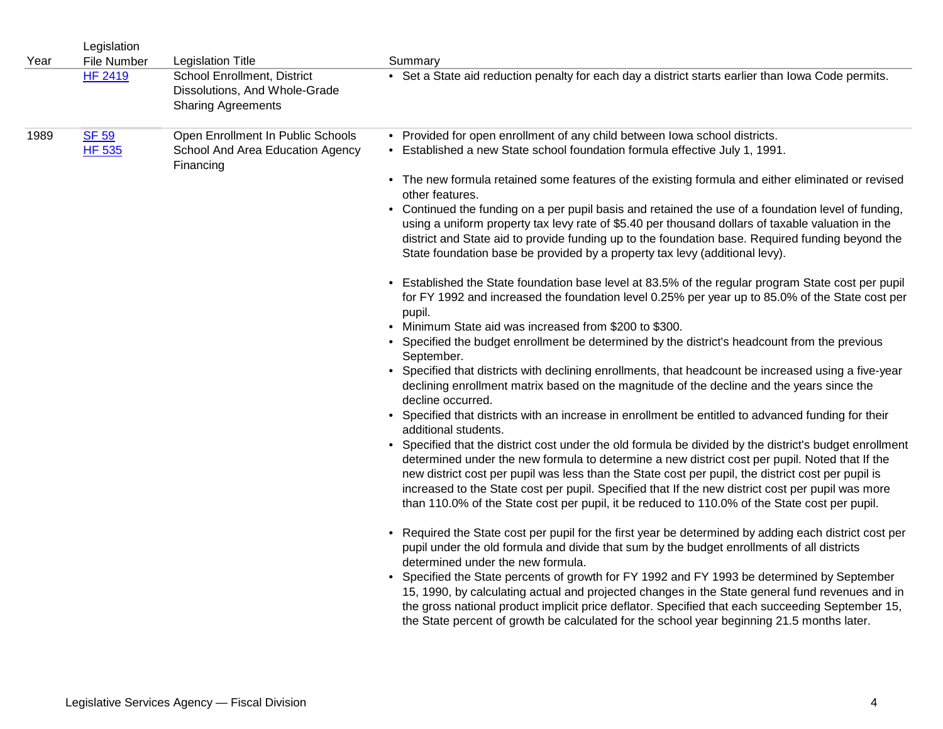| Year | Legislation<br>File Number    | <b>Legislation Title</b>                                                                  | Summary                                                                                                                                                                                                                                                                                                                                                                                                                                                                                                                                                                                                                                                                                                                                                                                                                                                                                                                                                                                                                                                                                                                                                                                                                                                                                                                                                                                                                                                                                                                                                                                                                                                                                                                                                                                                                                                                                                                                                                                                                                                                                                                                                                                                                                                                                                                                                                                                                                                                                                                                                                                                        |
|------|-------------------------------|-------------------------------------------------------------------------------------------|----------------------------------------------------------------------------------------------------------------------------------------------------------------------------------------------------------------------------------------------------------------------------------------------------------------------------------------------------------------------------------------------------------------------------------------------------------------------------------------------------------------------------------------------------------------------------------------------------------------------------------------------------------------------------------------------------------------------------------------------------------------------------------------------------------------------------------------------------------------------------------------------------------------------------------------------------------------------------------------------------------------------------------------------------------------------------------------------------------------------------------------------------------------------------------------------------------------------------------------------------------------------------------------------------------------------------------------------------------------------------------------------------------------------------------------------------------------------------------------------------------------------------------------------------------------------------------------------------------------------------------------------------------------------------------------------------------------------------------------------------------------------------------------------------------------------------------------------------------------------------------------------------------------------------------------------------------------------------------------------------------------------------------------------------------------------------------------------------------------------------------------------------------------------------------------------------------------------------------------------------------------------------------------------------------------------------------------------------------------------------------------------------------------------------------------------------------------------------------------------------------------------------------------------------------------------------------------------------------------|
|      | <b>HF 2419</b>                | School Enrollment, District<br>Dissolutions, And Whole-Grade<br><b>Sharing Agreements</b> | • Set a State aid reduction penalty for each day a district starts earlier than lowa Code permits.                                                                                                                                                                                                                                                                                                                                                                                                                                                                                                                                                                                                                                                                                                                                                                                                                                                                                                                                                                                                                                                                                                                                                                                                                                                                                                                                                                                                                                                                                                                                                                                                                                                                                                                                                                                                                                                                                                                                                                                                                                                                                                                                                                                                                                                                                                                                                                                                                                                                                                             |
| 1989 | <b>SF 59</b><br><b>HF 535</b> | Open Enrollment In Public Schools<br>School And Area Education Agency<br>Financing        | • Provided for open enrollment of any child between lowa school districts.<br>• Established a new State school foundation formula effective July 1, 1991.<br>• The new formula retained some features of the existing formula and either eliminated or revised<br>other features.<br>• Continued the funding on a per pupil basis and retained the use of a foundation level of funding,<br>using a uniform property tax levy rate of \$5.40 per thousand dollars of taxable valuation in the<br>district and State aid to provide funding up to the foundation base. Required funding beyond the<br>State foundation base be provided by a property tax levy (additional levy).<br>• Established the State foundation base level at 83.5% of the regular program State cost per pupil<br>for FY 1992 and increased the foundation level 0.25% per year up to 85.0% of the State cost per<br>pupil.<br>• Minimum State aid was increased from \$200 to \$300.<br>• Specified the budget enrollment be determined by the district's headcount from the previous<br>September.<br>• Specified that districts with declining enrollments, that headcount be increased using a five-year<br>declining enrollment matrix based on the magnitude of the decline and the years since the<br>decline occurred.<br>• Specified that districts with an increase in enrollment be entitled to advanced funding for their<br>additional students.<br>• Specified that the district cost under the old formula be divided by the district's budget enrollment<br>determined under the new formula to determine a new district cost per pupil. Noted that If the<br>new district cost per pupil was less than the State cost per pupil, the district cost per pupil is<br>increased to the State cost per pupil. Specified that If the new district cost per pupil was more<br>than 110.0% of the State cost per pupil, it be reduced to 110.0% of the State cost per pupil.<br>• Required the State cost per pupil for the first year be determined by adding each district cost per<br>pupil under the old formula and divide that sum by the budget enrollments of all districts<br>determined under the new formula.<br>• Specified the State percents of growth for FY 1992 and FY 1993 be determined by September<br>15, 1990, by calculating actual and projected changes in the State general fund revenues and in<br>the gross national product implicit price deflator. Specified that each succeeding September 15,<br>the State percent of growth be calculated for the school year beginning 21.5 months later. |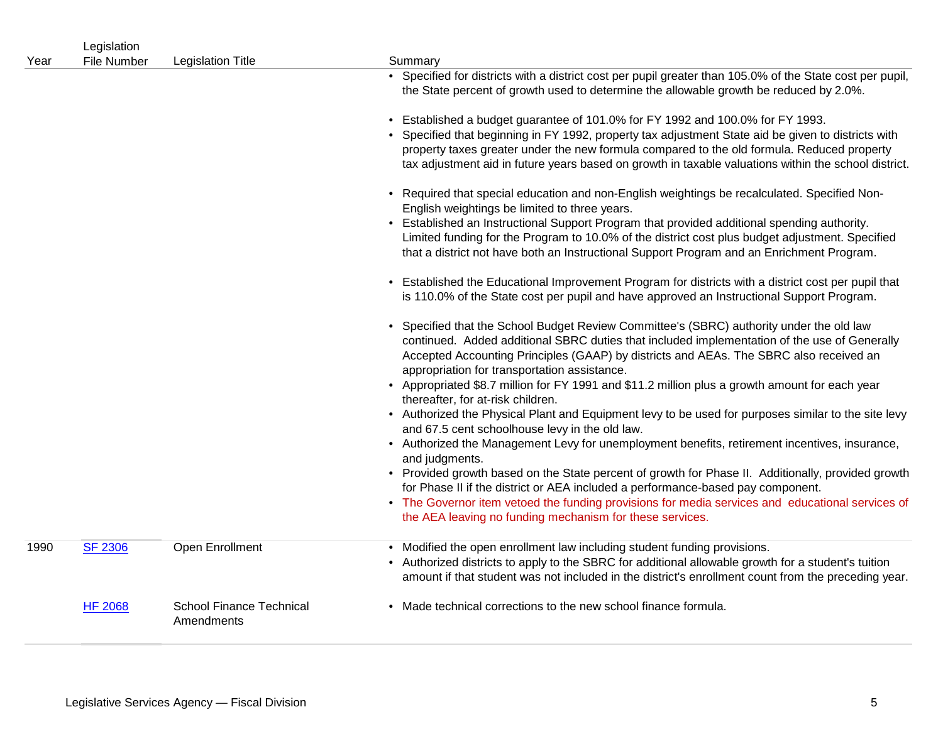| Year | Legislation<br><b>File Number</b> | <b>Legislation Title</b>                      | Summary                                                                                                                                                                                                                                                                                                                                                                                                                                                                   |
|------|-----------------------------------|-----------------------------------------------|---------------------------------------------------------------------------------------------------------------------------------------------------------------------------------------------------------------------------------------------------------------------------------------------------------------------------------------------------------------------------------------------------------------------------------------------------------------------------|
|      |                                   |                                               | • Specified for districts with a district cost per pupil greater than 105.0% of the State cost per pupil,<br>the State percent of growth used to determine the allowable growth be reduced by 2.0%.                                                                                                                                                                                                                                                                       |
|      |                                   |                                               | • Established a budget guarantee of 101.0% for FY 1992 and 100.0% for FY 1993.<br>• Specified that beginning in FY 1992, property tax adjustment State aid be given to districts with<br>property taxes greater under the new formula compared to the old formula. Reduced property<br>tax adjustment aid in future years based on growth in taxable valuations within the school district.                                                                               |
|      |                                   |                                               | • Required that special education and non-English weightings be recalculated. Specified Non-<br>English weightings be limited to three years.<br>• Established an Instructional Support Program that provided additional spending authority.<br>Limited funding for the Program to 10.0% of the district cost plus budget adjustment. Specified<br>that a district not have both an Instructional Support Program and an Enrichment Program.                              |
|      |                                   |                                               | • Established the Educational Improvement Program for districts with a district cost per pupil that<br>is 110.0% of the State cost per pupil and have approved an Instructional Support Program.                                                                                                                                                                                                                                                                          |
|      |                                   |                                               | • Specified that the School Budget Review Committee's (SBRC) authority under the old law<br>continued. Added additional SBRC duties that included implementation of the use of Generally<br>Accepted Accounting Principles (GAAP) by districts and AEAs. The SBRC also received an<br>appropriation for transportation assistance.<br>• Appropriated \$8.7 million for FY 1991 and \$11.2 million plus a growth amount for each year<br>thereafter, for at-risk children. |
|      |                                   |                                               | • Authorized the Physical Plant and Equipment levy to be used for purposes similar to the site levy<br>and 67.5 cent schoolhouse levy in the old law.<br>• Authorized the Management Levy for unemployment benefits, retirement incentives, insurance,                                                                                                                                                                                                                    |
|      |                                   |                                               | and judgments.<br>• Provided growth based on the State percent of growth for Phase II. Additionally, provided growth<br>for Phase II if the district or AEA included a performance-based pay component.<br>• The Governor item vetoed the funding provisions for media services and educational services of<br>the AEA leaving no funding mechanism for these services.                                                                                                   |
| 1990 | <b>SF 2306</b>                    | Open Enrollment                               | • Modified the open enrollment law including student funding provisions.<br>• Authorized districts to apply to the SBRC for additional allowable growth for a student's tuition<br>amount if that student was not included in the district's enrollment count from the preceding year.                                                                                                                                                                                    |
|      | <b>HF 2068</b>                    | <b>School Finance Technical</b><br>Amendments | • Made technical corrections to the new school finance formula.                                                                                                                                                                                                                                                                                                                                                                                                           |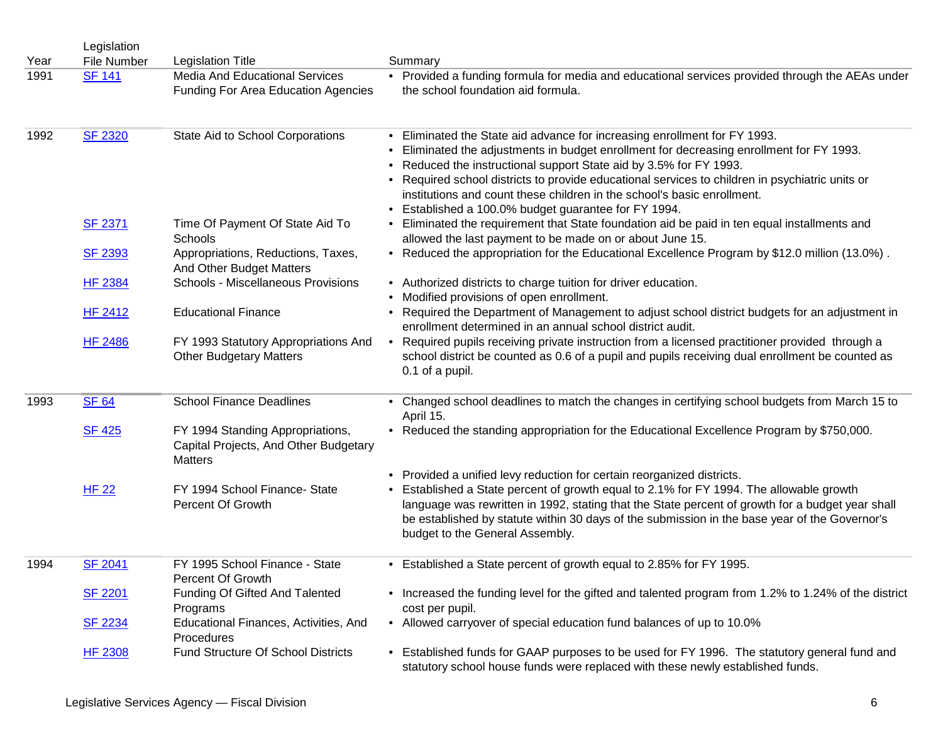|      | Legislation    |                                                                                             |                                                                                                                                                                                                                                                                                                                                                                                                                                                                              |
|------|----------------|---------------------------------------------------------------------------------------------|------------------------------------------------------------------------------------------------------------------------------------------------------------------------------------------------------------------------------------------------------------------------------------------------------------------------------------------------------------------------------------------------------------------------------------------------------------------------------|
| Year | File Number    | <b>Legislation Title</b>                                                                    | Summary                                                                                                                                                                                                                                                                                                                                                                                                                                                                      |
| 1991 | <b>SF 141</b>  | <b>Media And Educational Services</b><br><b>Funding For Area Education Agencies</b>         | • Provided a funding formula for media and educational services provided through the AEAs under<br>the school foundation aid formula.                                                                                                                                                                                                                                                                                                                                        |
| 1992 | <b>SF 2320</b> | State Aid to School Corporations                                                            | Eliminated the State aid advance for increasing enrollment for FY 1993.<br>Eliminated the adjustments in budget enrollment for decreasing enrollment for FY 1993.<br>Reduced the instructional support State aid by 3.5% for FY 1993.<br>Required school districts to provide educational services to children in psychiatric units or<br>٠<br>institutions and count these children in the school's basic enrollment.<br>Established a 100.0% budget guarantee for FY 1994. |
|      | <b>SF 2371</b> | Time Of Payment Of State Aid To<br>Schools                                                  | Eliminated the requirement that State foundation aid be paid in ten equal installments and<br>allowed the last payment to be made on or about June 15.                                                                                                                                                                                                                                                                                                                       |
|      | <b>SF 2393</b> | Appropriations, Reductions, Taxes,<br>And Other Budget Matters                              | • Reduced the appropriation for the Educational Excellence Program by \$12.0 million (13.0%).                                                                                                                                                                                                                                                                                                                                                                                |
|      | <b>HF 2384</b> | Schools - Miscellaneous Provisions                                                          | • Authorized districts to charge tuition for driver education.<br>Modified provisions of open enrollment.                                                                                                                                                                                                                                                                                                                                                                    |
|      | <b>HF 2412</b> | <b>Educational Finance</b>                                                                  | Required the Department of Management to adjust school district budgets for an adjustment in<br>enrollment determined in an annual school district audit.                                                                                                                                                                                                                                                                                                                    |
|      | <b>HF 2486</b> | FY 1993 Statutory Appropriations And<br><b>Other Budgetary Matters</b>                      | Required pupils receiving private instruction from a licensed practitioner provided through a<br>school district be counted as 0.6 of a pupil and pupils receiving dual enrollment be counted as<br>0.1 of a pupil.                                                                                                                                                                                                                                                          |
| 1993 | <b>SF 64</b>   | <b>School Finance Deadlines</b>                                                             | • Changed school deadlines to match the changes in certifying school budgets from March 15 to<br>April 15.                                                                                                                                                                                                                                                                                                                                                                   |
|      | <b>SF 425</b>  | FY 1994 Standing Appropriations,<br>Capital Projects, And Other Budgetary<br><b>Matters</b> | • Reduced the standing appropriation for the Educational Excellence Program by \$750,000.                                                                                                                                                                                                                                                                                                                                                                                    |
|      | HF 22          | FY 1994 School Finance- State<br>Percent Of Growth                                          | Provided a unified levy reduction for certain reorganized districts.<br>٠<br>Established a State percent of growth equal to 2.1% for FY 1994. The allowable growth<br>language was rewritten in 1992, stating that the State percent of growth for a budget year shall<br>be established by statute within 30 days of the submission in the base year of the Governor's<br>budget to the General Assembly.                                                                   |
| 1994 | <b>SF 2041</b> | FY 1995 School Finance - State<br>Percent Of Growth                                         | • Established a State percent of growth equal to 2.85% for FY 1995.                                                                                                                                                                                                                                                                                                                                                                                                          |
|      | <b>SF 2201</b> | Funding Of Gifted And Talented<br>Programs                                                  | • Increased the funding level for the gifted and talented program from 1.2% to 1.24% of the district<br>cost per pupil.                                                                                                                                                                                                                                                                                                                                                      |
|      | <b>SF 2234</b> | Educational Finances, Activities, And<br>Procedures                                         | • Allowed carryover of special education fund balances of up to 10.0%                                                                                                                                                                                                                                                                                                                                                                                                        |
|      | <b>HF 2308</b> | Fund Structure Of School Districts                                                          | • Established funds for GAAP purposes to be used for FY 1996. The statutory general fund and<br>statutory school house funds were replaced with these newly established funds.                                                                                                                                                                                                                                                                                               |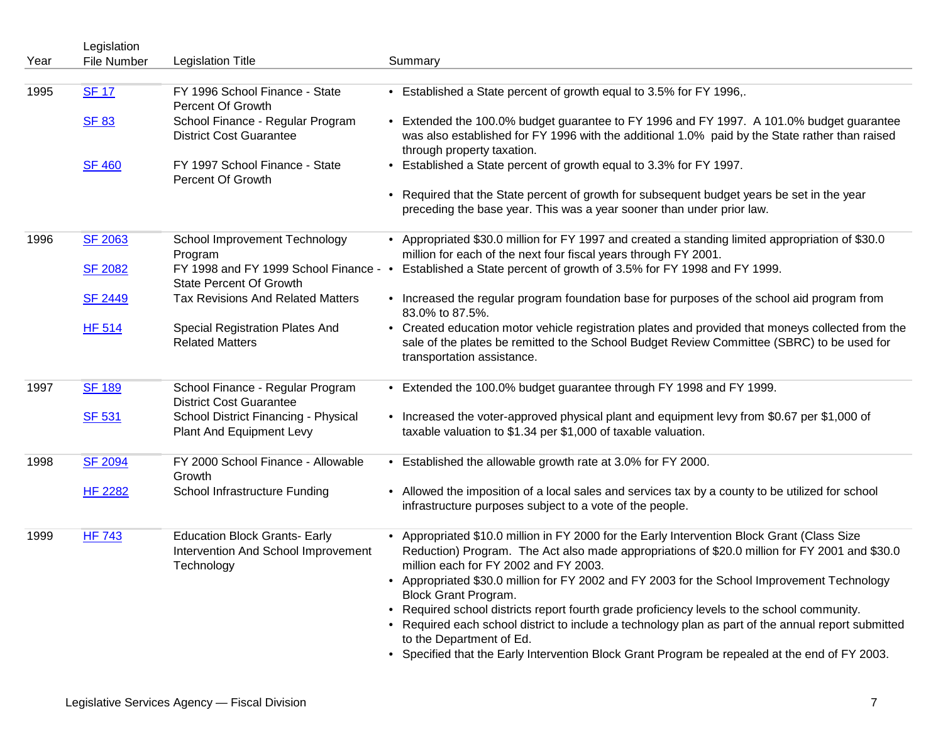|      | Legislation        |                                                                                           |                                                                                                                                                                                                                                                                                                                                                                 |
|------|--------------------|-------------------------------------------------------------------------------------------|-----------------------------------------------------------------------------------------------------------------------------------------------------------------------------------------------------------------------------------------------------------------------------------------------------------------------------------------------------------------|
| Year | <b>File Number</b> | <b>Legislation Title</b>                                                                  | Summary                                                                                                                                                                                                                                                                                                                                                         |
| 1995 | <b>SF 17</b>       | FY 1996 School Finance - State<br>Percent Of Growth                                       | • Established a State percent of growth equal to 3.5% for FY 1996,.                                                                                                                                                                                                                                                                                             |
|      | <b>SF 83</b>       | School Finance - Regular Program<br><b>District Cost Guarantee</b>                        | • Extended the 100.0% budget guarantee to FY 1996 and FY 1997. A 101.0% budget guarantee<br>was also established for FY 1996 with the additional 1.0% paid by the State rather than raised<br>through property taxation.                                                                                                                                        |
|      | <b>SF 460</b>      | FY 1997 School Finance - State<br>Percent Of Growth                                       | • Established a State percent of growth equal to 3.3% for FY 1997.                                                                                                                                                                                                                                                                                              |
|      |                    |                                                                                           | • Required that the State percent of growth for subsequent budget years be set in the year<br>preceding the base year. This was a year sooner than under prior law.                                                                                                                                                                                             |
| 1996 | <b>SF 2063</b>     | School Improvement Technology<br>Program                                                  | • Appropriated \$30.0 million for FY 1997 and created a standing limited appropriation of \$30.0<br>million for each of the next four fiscal years through FY 2001.                                                                                                                                                                                             |
|      | <b>SF 2082</b>     | FY 1998 and FY 1999 School Finance - •<br><b>State Percent Of Growth</b>                  | Established a State percent of growth of 3.5% for FY 1998 and FY 1999.                                                                                                                                                                                                                                                                                          |
|      | <b>SF 2449</b>     | <b>Tax Revisions And Related Matters</b>                                                  | • Increased the regular program foundation base for purposes of the school aid program from<br>83.0% to 87.5%.                                                                                                                                                                                                                                                  |
|      | <b>HF 514</b>      | Special Registration Plates And<br><b>Related Matters</b>                                 | • Created education motor vehicle registration plates and provided that moneys collected from the<br>sale of the plates be remitted to the School Budget Review Committee (SBRC) to be used for<br>transportation assistance.                                                                                                                                   |
| 1997 | <b>SF 189</b>      | School Finance - Regular Program<br><b>District Cost Guarantee</b>                        | • Extended the 100.0% budget guarantee through FY 1998 and FY 1999.                                                                                                                                                                                                                                                                                             |
|      | <b>SF 531</b>      | School District Financing - Physical<br>Plant And Equipment Levy                          | • Increased the voter-approved physical plant and equipment levy from \$0.67 per \$1,000 of<br>taxable valuation to \$1.34 per \$1,000 of taxable valuation.                                                                                                                                                                                                    |
| 1998 | <b>SF 2094</b>     | FY 2000 School Finance - Allowable<br>Growth                                              | • Established the allowable growth rate at 3.0% for FY 2000.                                                                                                                                                                                                                                                                                                    |
|      | <b>HF 2282</b>     | School Infrastructure Funding                                                             | • Allowed the imposition of a local sales and services tax by a county to be utilized for school<br>infrastructure purposes subject to a vote of the people.                                                                                                                                                                                                    |
| 1999 | <b>HF 743</b>      | <b>Education Block Grants- Early</b><br>Intervention And School Improvement<br>Technology | • Appropriated \$10.0 million in FY 2000 for the Early Intervention Block Grant (Class Size<br>Reduction) Program. The Act also made appropriations of \$20.0 million for FY 2001 and \$30.0<br>million each for FY 2002 and FY 2003.<br>• Appropriated \$30.0 million for FY 2002 and FY 2003 for the School Improvement Technology                            |
|      |                    |                                                                                           | <b>Block Grant Program.</b><br>• Required school districts report fourth grade proficiency levels to the school community.<br>• Required each school district to include a technology plan as part of the annual report submitted<br>to the Department of Ed.<br>• Specified that the Early Intervention Block Grant Program be repealed at the end of FY 2003. |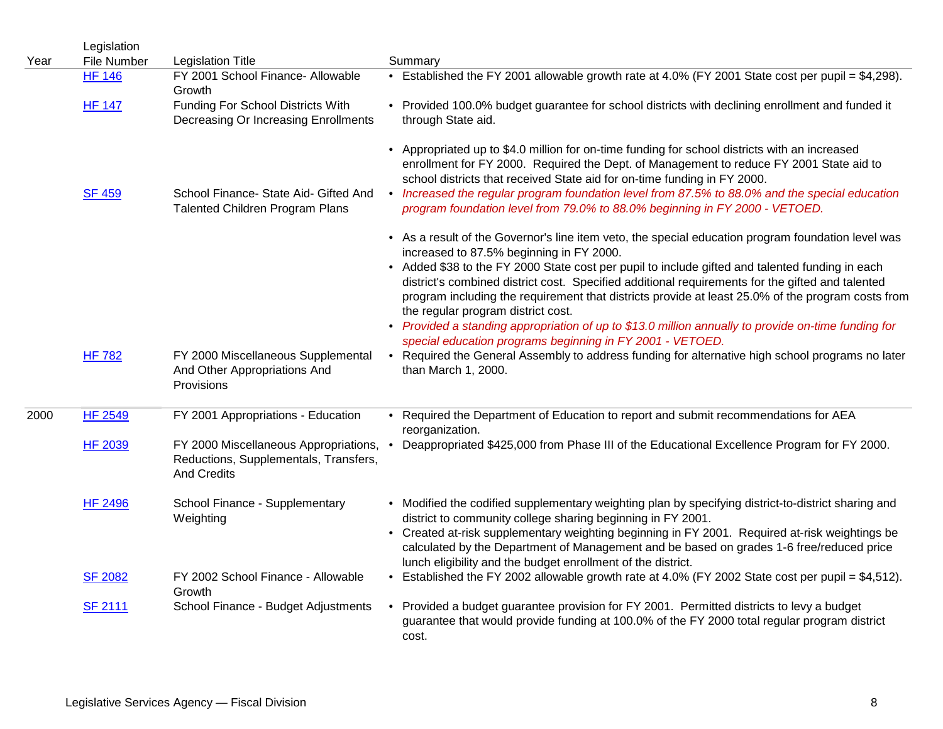|      | Legislation    |                                                                                                        |                                                                                                                                                                                                                                                                                                                                                                                                                                                       |
|------|----------------|--------------------------------------------------------------------------------------------------------|-------------------------------------------------------------------------------------------------------------------------------------------------------------------------------------------------------------------------------------------------------------------------------------------------------------------------------------------------------------------------------------------------------------------------------------------------------|
| Year | File Number    | <b>Legislation Title</b>                                                                               | Summary                                                                                                                                                                                                                                                                                                                                                                                                                                               |
|      | <b>HF 146</b>  | FY 2001 School Finance- Allowable<br>Growth                                                            | • Established the FY 2001 allowable growth rate at 4.0% (FY 2001 State cost per pupil = \$4,298).                                                                                                                                                                                                                                                                                                                                                     |
|      | <b>HF 147</b>  | Funding For School Districts With<br>Decreasing Or Increasing Enrollments                              | • Provided 100.0% budget guarantee for school districts with declining enrollment and funded it<br>through State aid.                                                                                                                                                                                                                                                                                                                                 |
|      | <b>SF 459</b>  | School Finance- State Aid- Gifted And<br><b>Talented Children Program Plans</b>                        | • Appropriated up to \$4.0 million for on-time funding for school districts with an increased<br>enrollment for FY 2000. Required the Dept. of Management to reduce FY 2001 State aid to<br>school districts that received State aid for on-time funding in FY 2000.<br>• Increased the regular program foundation level from 87.5% to 88.0% and the special education<br>program foundation level from 79.0% to 88.0% beginning in FY 2000 - VETOED. |
|      |                |                                                                                                        | • As a result of the Governor's line item veto, the special education program foundation level was                                                                                                                                                                                                                                                                                                                                                    |
|      |                |                                                                                                        | increased to 87.5% beginning in FY 2000.<br>• Added \$38 to the FY 2000 State cost per pupil to include gifted and talented funding in each<br>district's combined district cost. Specified additional requirements for the gifted and talented<br>program including the requirement that districts provide at least 25.0% of the program costs from<br>the regular program district cost.                                                            |
|      |                |                                                                                                        | • Provided a standing appropriation of up to \$13.0 million annually to provide on-time funding for<br>special education programs beginning in FY 2001 - VETOED.                                                                                                                                                                                                                                                                                      |
|      | <b>HF 782</b>  | FY 2000 Miscellaneous Supplemental<br>And Other Appropriations And<br>Provisions                       | • Required the General Assembly to address funding for alternative high school programs no later<br>than March 1, 2000.                                                                                                                                                                                                                                                                                                                               |
| 2000 | <b>HF 2549</b> | FY 2001 Appropriations - Education                                                                     | • Required the Department of Education to report and submit recommendations for AEA<br>reorganization.                                                                                                                                                                                                                                                                                                                                                |
|      | <b>HF 2039</b> | FY 2000 Miscellaneous Appropriations, .<br>Reductions, Supplementals, Transfers,<br><b>And Credits</b> | Deappropriated \$425,000 from Phase III of the Educational Excellence Program for FY 2000.                                                                                                                                                                                                                                                                                                                                                            |
|      | <b>HF 2496</b> | School Finance - Supplementary<br>Weighting                                                            | • Modified the codified supplementary weighting plan by specifying district-to-district sharing and<br>district to community college sharing beginning in FY 2001.<br>• Created at-risk supplementary weighting beginning in FY 2001. Required at-risk weightings be                                                                                                                                                                                  |
|      |                |                                                                                                        | calculated by the Department of Management and be based on grades 1-6 free/reduced price<br>lunch eligibility and the budget enrollment of the district.                                                                                                                                                                                                                                                                                              |
|      | <b>SF 2082</b> | FY 2002 School Finance - Allowable<br>Growth                                                           | • Established the FY 2002 allowable growth rate at 4.0% (FY 2002 State cost per pupil = \$4,512).                                                                                                                                                                                                                                                                                                                                                     |
|      | <b>SF 2111</b> | School Finance - Budget Adjustments                                                                    | • Provided a budget guarantee provision for FY 2001. Permitted districts to levy a budget<br>guarantee that would provide funding at 100.0% of the FY 2000 total regular program district<br>cost.                                                                                                                                                                                                                                                    |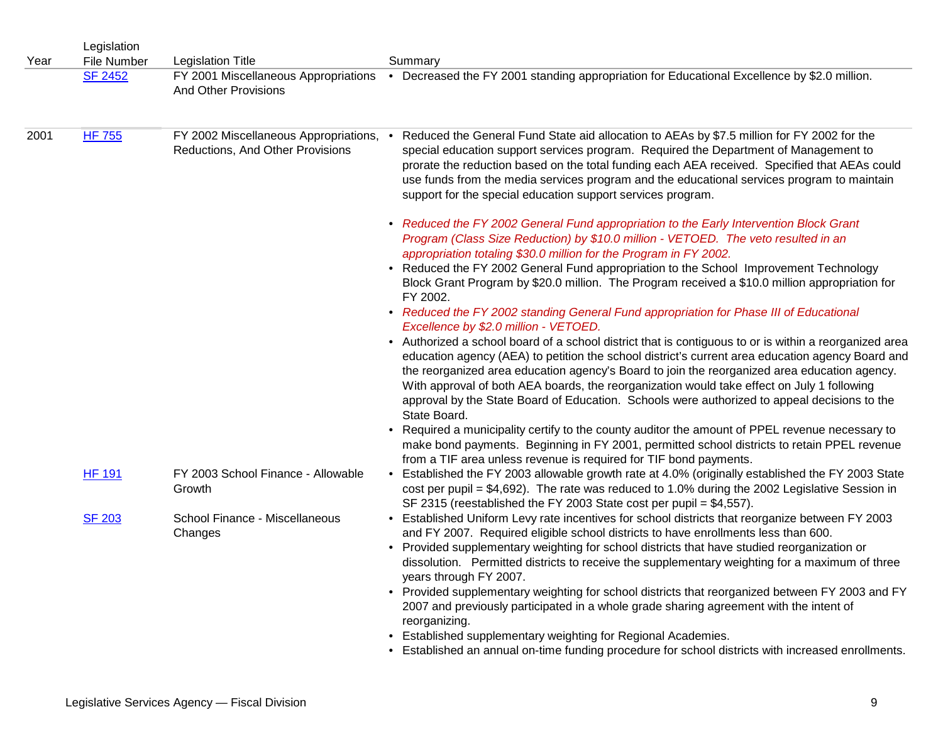| Year | Legislation<br>File Number | <b>Legislation Title</b>                     | Summary                                                                                                                                                                                                                                                                                                                                                                                                                                                                                                                  |
|------|----------------------------|----------------------------------------------|--------------------------------------------------------------------------------------------------------------------------------------------------------------------------------------------------------------------------------------------------------------------------------------------------------------------------------------------------------------------------------------------------------------------------------------------------------------------------------------------------------------------------|
|      | <b>SF 2452</b>             | FY 2001 Miscellaneous Appropriations         | • Decreased the FY 2001 standing appropriation for Educational Excellence by \$2.0 million.                                                                                                                                                                                                                                                                                                                                                                                                                              |
|      |                            | <b>And Other Provisions</b>                  |                                                                                                                                                                                                                                                                                                                                                                                                                                                                                                                          |
| 2001 | <b>HF 755</b>              | FY 2002 Miscellaneous Appropriations,        | Reduced the General Fund State aid allocation to AEAs by \$7.5 million for FY 2002 for the<br>$\bullet$                                                                                                                                                                                                                                                                                                                                                                                                                  |
|      |                            | Reductions, And Other Provisions             | special education support services program. Required the Department of Management to<br>prorate the reduction based on the total funding each AEA received. Specified that AEAs could<br>use funds from the media services program and the educational services program to maintain<br>support for the special education support services program.                                                                                                                                                                       |
|      |                            |                                              | • Reduced the FY 2002 General Fund appropriation to the Early Intervention Block Grant<br>Program (Class Size Reduction) by \$10.0 million - VETOED. The veto resulted in an<br>appropriation totaling \$30.0 million for the Program in FY 2002.                                                                                                                                                                                                                                                                        |
|      |                            |                                              | • Reduced the FY 2002 General Fund appropriation to the School Improvement Technology<br>Block Grant Program by \$20.0 million. The Program received a \$10.0 million appropriation for<br>FY 2002.                                                                                                                                                                                                                                                                                                                      |
|      |                            |                                              | • Reduced the FY 2002 standing General Fund appropriation for Phase III of Educational<br>Excellence by \$2.0 million - VETOED.                                                                                                                                                                                                                                                                                                                                                                                          |
|      |                            |                                              | • Authorized a school board of a school district that is contiguous to or is within a reorganized area<br>education agency (AEA) to petition the school district's current area education agency Board and<br>the reorganized area education agency's Board to join the reorganized area education agency.<br>With approval of both AEA boards, the reorganization would take effect on July 1 following<br>approval by the State Board of Education. Schools were authorized to appeal decisions to the<br>State Board. |
|      |                            |                                              | • Required a municipality certify to the county auditor the amount of PPEL revenue necessary to<br>make bond payments. Beginning in FY 2001, permitted school districts to retain PPEL revenue<br>from a TIF area unless revenue is required for TIF bond payments.                                                                                                                                                                                                                                                      |
|      | <b>HF 191</b>              | FY 2003 School Finance - Allowable<br>Growth | • Established the FY 2003 allowable growth rate at 4.0% (originally established the FY 2003 State<br>cost per pupil = $$4,692$ ). The rate was reduced to 1.0% during the 2002 Legislative Session in<br>SF 2315 (reestablished the FY 2003 State cost per pupil = \$4,557).                                                                                                                                                                                                                                             |
|      | <b>SF 203</b>              | School Finance - Miscellaneous<br>Changes    | • Established Uniform Levy rate incentives for school districts that reorganize between FY 2003<br>and FY 2007. Required eligible school districts to have enrollments less than 600.<br>• Provided supplementary weighting for school districts that have studied reorganization or<br>dissolution. Permitted districts to receive the supplementary weighting for a maximum of three<br>years through FY 2007.                                                                                                         |
|      |                            |                                              | • Provided supplementary weighting for school districts that reorganized between FY 2003 and FY<br>2007 and previously participated in a whole grade sharing agreement with the intent of<br>reorganizing.                                                                                                                                                                                                                                                                                                               |
|      |                            |                                              | • Established supplementary weighting for Regional Academies.<br>• Established an annual on-time funding procedure for school districts with increased enrollments.                                                                                                                                                                                                                                                                                                                                                      |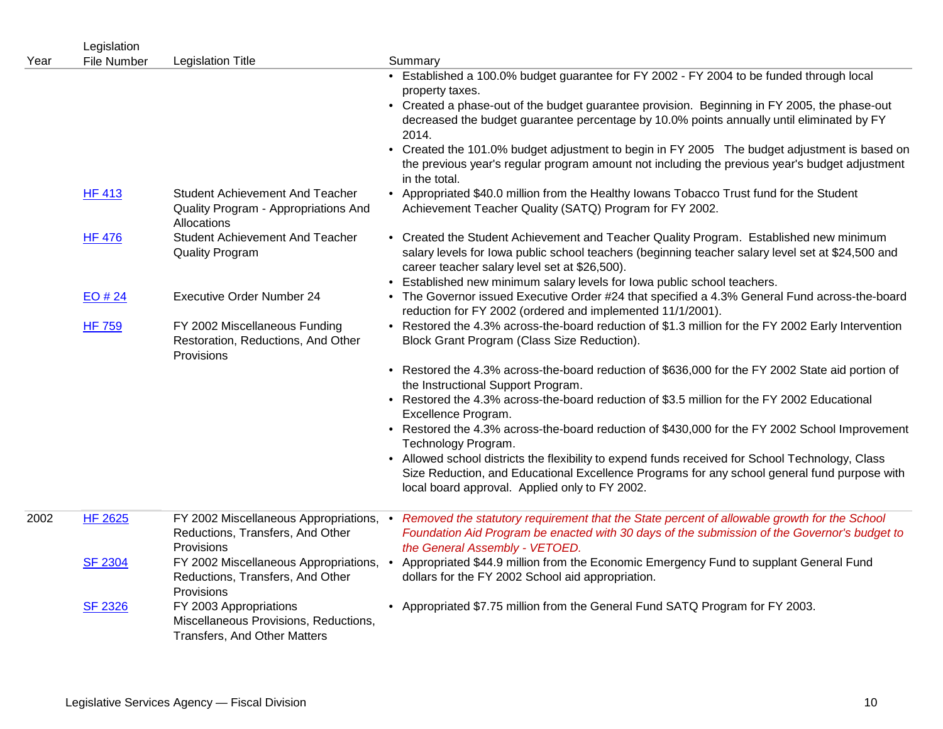|      | Legislation        |                                                                                                 |                                                                                                                                                                                                                                                                                                                          |
|------|--------------------|-------------------------------------------------------------------------------------------------|--------------------------------------------------------------------------------------------------------------------------------------------------------------------------------------------------------------------------------------------------------------------------------------------------------------------------|
| Year | <b>File Number</b> | <b>Legislation Title</b>                                                                        | Summary<br>• Established a 100.0% budget guarantee for FY 2002 - FY 2004 to be funded through local                                                                                                                                                                                                                      |
|      |                    |                                                                                                 | property taxes.                                                                                                                                                                                                                                                                                                          |
|      |                    |                                                                                                 | • Created a phase-out of the budget guarantee provision. Beginning in FY 2005, the phase-out<br>decreased the budget guarantee percentage by 10.0% points annually until eliminated by FY<br>2014.                                                                                                                       |
|      |                    |                                                                                                 | • Created the 101.0% budget adjustment to begin in FY 2005 The budget adjustment is based on<br>the previous year's regular program amount not including the previous year's budget adjustment<br>in the total.                                                                                                          |
|      | <b>HF 413</b>      | <b>Student Achievement And Teacher</b><br>Quality Program - Appropriations And<br>Allocations   | • Appropriated \$40.0 million from the Healthy lowans Tobacco Trust fund for the Student<br>Achievement Teacher Quality (SATQ) Program for FY 2002.                                                                                                                                                                      |
|      | <b>HF 476</b>      | <b>Student Achievement And Teacher</b><br><b>Quality Program</b>                                | • Created the Student Achievement and Teacher Quality Program. Established new minimum<br>salary levels for lowa public school teachers (beginning teacher salary level set at \$24,500 and<br>career teacher salary level set at \$26,500).<br>• Established new minimum salary levels for lowa public school teachers. |
|      | EO#24              | Executive Order Number 24                                                                       | • The Governor issued Executive Order #24 that specified a 4.3% General Fund across-the-board<br>reduction for FY 2002 (ordered and implemented 11/1/2001).                                                                                                                                                              |
|      | <b>HF 759</b>      | FY 2002 Miscellaneous Funding<br>Restoration, Reductions, And Other<br>Provisions               | • Restored the 4.3% across-the-board reduction of \$1.3 million for the FY 2002 Early Intervention<br>Block Grant Program (Class Size Reduction).                                                                                                                                                                        |
|      |                    |                                                                                                 | • Restored the 4.3% across-the-board reduction of \$636,000 for the FY 2002 State aid portion of<br>the Instructional Support Program.                                                                                                                                                                                   |
|      |                    |                                                                                                 | • Restored the 4.3% across-the-board reduction of \$3.5 million for the FY 2002 Educational<br>Excellence Program.                                                                                                                                                                                                       |
|      |                    |                                                                                                 | • Restored the 4.3% across-the-board reduction of \$430,000 for the FY 2002 School Improvement<br>Technology Program.                                                                                                                                                                                                    |
|      |                    |                                                                                                 | • Allowed school districts the flexibility to expend funds received for School Technology, Class<br>Size Reduction, and Educational Excellence Programs for any school general fund purpose with<br>local board approval. Applied only to FY 2002.                                                                       |
| 2002 | <b>HF 2625</b>     | FY 2002 Miscellaneous Appropriations, •<br>Reductions, Transfers, And Other<br>Provisions       | Removed the statutory requirement that the State percent of allowable growth for the School<br>Foundation Aid Program be enacted with 30 days of the submission of the Governor's budget to<br>the General Assembly - VETOED.                                                                                            |
|      | <b>SF 2304</b>     | FY 2002 Miscellaneous Appropriations,<br>Reductions, Transfers, And Other<br>Provisions         | Appropriated \$44.9 million from the Economic Emergency Fund to supplant General Fund<br>$\bullet$<br>dollars for the FY 2002 School aid appropriation.                                                                                                                                                                  |
|      | <b>SF 2326</b>     | FY 2003 Appropriations<br>Miscellaneous Provisions, Reductions,<br>Transfers, And Other Matters | • Appropriated \$7.75 million from the General Fund SATQ Program for FY 2003.                                                                                                                                                                                                                                            |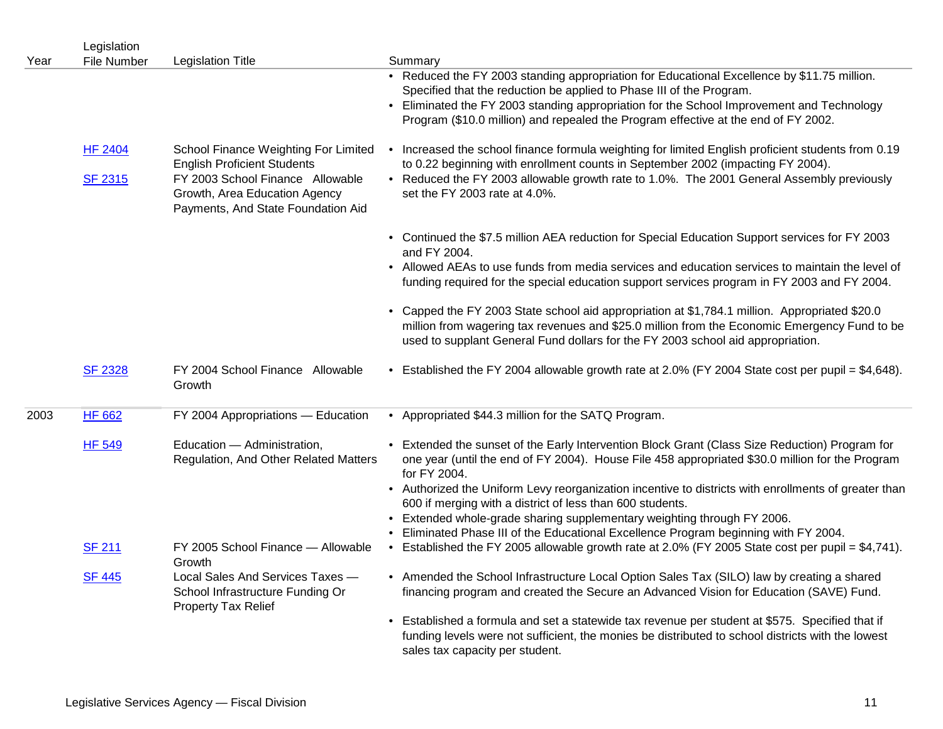| Year | Legislation<br><b>File Number</b> | <b>Legislation Title</b>                                                                                                                                                              | Summary                                                                                                                                                                                                                                                                                                                                                                                                                                                                                                           |
|------|-----------------------------------|---------------------------------------------------------------------------------------------------------------------------------------------------------------------------------------|-------------------------------------------------------------------------------------------------------------------------------------------------------------------------------------------------------------------------------------------------------------------------------------------------------------------------------------------------------------------------------------------------------------------------------------------------------------------------------------------------------------------|
|      |                                   |                                                                                                                                                                                       | • Reduced the FY 2003 standing appropriation for Educational Excellence by \$11.75 million.<br>Specified that the reduction be applied to Phase III of the Program.<br>• Eliminated the FY 2003 standing appropriation for the School Improvement and Technology<br>Program (\$10.0 million) and repealed the Program effective at the end of FY 2002.                                                                                                                                                            |
|      | <b>HF 2404</b><br><b>SF 2315</b>  | School Finance Weighting For Limited<br><b>English Proficient Students</b><br>FY 2003 School Finance Allowable<br>Growth, Area Education Agency<br>Payments, And State Foundation Aid | • Increased the school finance formula weighting for limited English proficient students from 0.19<br>to 0.22 beginning with enrollment counts in September 2002 (impacting FY 2004).<br>• Reduced the FY 2003 allowable growth rate to 1.0%. The 2001 General Assembly previously<br>set the FY 2003 rate at 4.0%.                                                                                                                                                                                               |
|      |                                   |                                                                                                                                                                                       | • Continued the \$7.5 million AEA reduction for Special Education Support services for FY 2003<br>and FY 2004.<br>• Allowed AEAs to use funds from media services and education services to maintain the level of<br>funding required for the special education support services program in FY 2003 and FY 2004.<br>• Capped the FY 2003 State school aid appropriation at \$1,784.1 million. Appropriated \$20.0<br>million from wagering tax revenues and \$25.0 million from the Economic Emergency Fund to be |
|      | <b>SF 2328</b>                    | FY 2004 School Finance Allowable<br>Growth                                                                                                                                            | used to supplant General Fund dollars for the FY 2003 school aid appropriation.<br>• Established the FY 2004 allowable growth rate at 2.0% (FY 2004 State cost per pupil = \$4,648).                                                                                                                                                                                                                                                                                                                              |
| 2003 | <b>HF 662</b>                     | FY 2004 Appropriations - Education                                                                                                                                                    | • Appropriated \$44.3 million for the SATQ Program.                                                                                                                                                                                                                                                                                                                                                                                                                                                               |
|      | <b>HF 549</b>                     | Education - Administration,<br>Regulation, And Other Related Matters                                                                                                                  | • Extended the sunset of the Early Intervention Block Grant (Class Size Reduction) Program for<br>one year (until the end of FY 2004). House File 458 appropriated \$30.0 million for the Program<br>for FY 2004.<br>• Authorized the Uniform Levy reorganization incentive to districts with enrollments of greater than<br>600 if merging with a district of less than 600 students.                                                                                                                            |
|      | <b>SF 211</b>                     | FY 2005 School Finance - Allowable<br>Growth                                                                                                                                          | Extended whole-grade sharing supplementary weighting through FY 2006.<br>Eliminated Phase III of the Educational Excellence Program beginning with FY 2004.<br>• Established the FY 2005 allowable growth rate at 2.0% (FY 2005 State cost per pupil = \$4,741).                                                                                                                                                                                                                                                  |
|      | <b>SF 445</b>                     | Local Sales And Services Taxes -<br>School Infrastructure Funding Or<br><b>Property Tax Relief</b>                                                                                    | • Amended the School Infrastructure Local Option Sales Tax (SILO) law by creating a shared<br>financing program and created the Secure an Advanced Vision for Education (SAVE) Fund.                                                                                                                                                                                                                                                                                                                              |
|      |                                   |                                                                                                                                                                                       | • Established a formula and set a statewide tax revenue per student at \$575. Specified that if<br>funding levels were not sufficient, the monies be distributed to school districts with the lowest<br>sales tax capacity per student.                                                                                                                                                                                                                                                                           |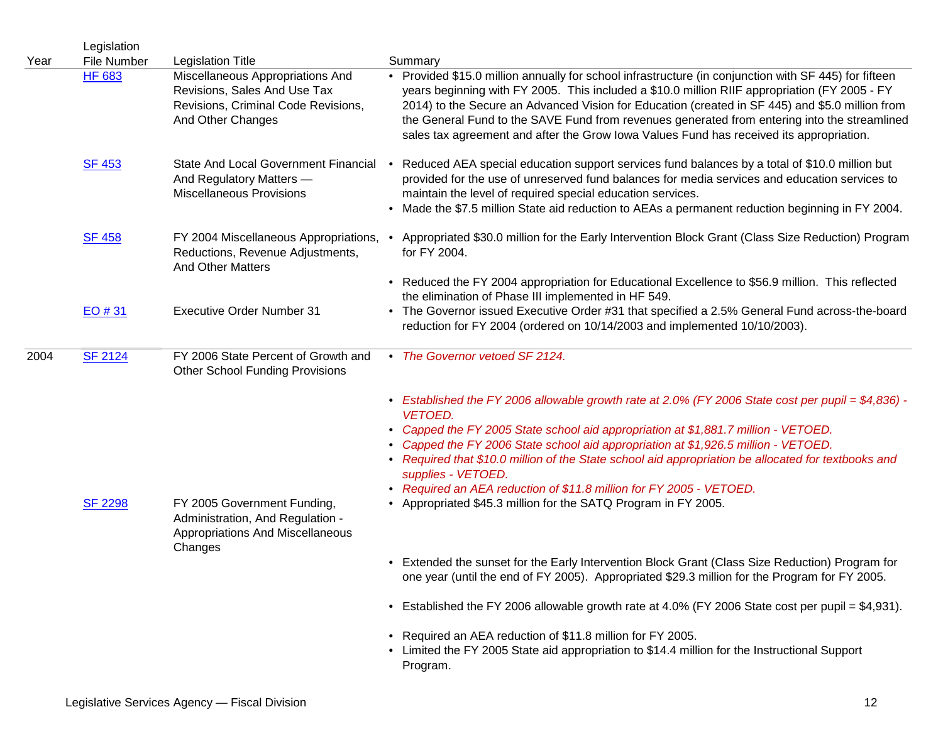| Year | Legislation<br>File Number | <b>Legislation Title</b>                                                                                                     | Summary                                                                                                                                                                                                                                                                                                                                                                                                                                                                                                                                                                                                                                                                              |
|------|----------------------------|------------------------------------------------------------------------------------------------------------------------------|--------------------------------------------------------------------------------------------------------------------------------------------------------------------------------------------------------------------------------------------------------------------------------------------------------------------------------------------------------------------------------------------------------------------------------------------------------------------------------------------------------------------------------------------------------------------------------------------------------------------------------------------------------------------------------------|
|      | <b>HF 683</b>              | Miscellaneous Appropriations And<br>Revisions, Sales And Use Tax<br>Revisions, Criminal Code Revisions,<br>And Other Changes | • Provided \$15.0 million annually for school infrastructure (in conjunction with SF 445) for fifteen<br>years beginning with FY 2005. This included a \$10.0 million RIIF appropriation (FY 2005 - FY<br>2014) to the Secure an Advanced Vision for Education (created in SF 445) and \$5.0 million from<br>the General Fund to the SAVE Fund from revenues generated from entering into the streamlined<br>sales tax agreement and after the Grow Iowa Values Fund has received its appropriation.                                                                                                                                                                                 |
|      | <b>SF 453</b>              | State And Local Government Financial •<br>And Regulatory Matters -<br><b>Miscellaneous Provisions</b>                        | Reduced AEA special education support services fund balances by a total of \$10.0 million but<br>provided for the use of unreserved fund balances for media services and education services to<br>maintain the level of required special education services.<br>Made the \$7.5 million State aid reduction to AEAs a permanent reduction beginning in FY 2004.                                                                                                                                                                                                                                                                                                                       |
|      | <b>SF 458</b>              | FY 2004 Miscellaneous Appropriations,<br>Reductions, Revenue Adjustments,<br><b>And Other Matters</b>                        | Appropriated \$30.0 million for the Early Intervention Block Grant (Class Size Reduction) Program<br>for FY 2004.                                                                                                                                                                                                                                                                                                                                                                                                                                                                                                                                                                    |
|      |                            |                                                                                                                              | • Reduced the FY 2004 appropriation for Educational Excellence to \$56.9 million. This reflected<br>the elimination of Phase III implemented in HF 549.                                                                                                                                                                                                                                                                                                                                                                                                                                                                                                                              |
|      | $EO \# 31$                 | <b>Executive Order Number 31</b>                                                                                             | • The Governor issued Executive Order #31 that specified a 2.5% General Fund across-the-board<br>reduction for FY 2004 (ordered on 10/14/2003 and implemented 10/10/2003).                                                                                                                                                                                                                                                                                                                                                                                                                                                                                                           |
| 2004 | <b>SF 2124</b>             | FY 2006 State Percent of Growth and<br><b>Other School Funding Provisions</b>                                                | • The Governor vetoed SF 2124.                                                                                                                                                                                                                                                                                                                                                                                                                                                                                                                                                                                                                                                       |
|      | <b>SF 2298</b>             | FY 2005 Government Funding,<br>Administration, And Regulation -<br><b>Appropriations And Miscellaneous</b><br>Changes        | • Established the FY 2006 allowable growth rate at 2.0% (FY 2006 State cost per pupil = $$4,836$ ) -<br><b>VETOED.</b><br>Capped the FY 2005 State school aid appropriation at \$1,881.7 million - VETOED.<br>$\bullet$<br>Capped the FY 2006 State school aid appropriation at \$1,926.5 million - VETOED.<br>• Required that \$10.0 million of the State school aid appropriation be allocated for textbooks and<br>supplies - VETOED.<br>• Required an AEA reduction of \$11.8 million for FY 2005 - VETOED.<br>• Appropriated \$45.3 million for the SATQ Program in FY 2005.<br>• Extended the sunset for the Early Intervention Block Grant (Class Size Reduction) Program for |
|      |                            |                                                                                                                              | one year (until the end of FY 2005). Appropriated \$29.3 million for the Program for FY 2005.                                                                                                                                                                                                                                                                                                                                                                                                                                                                                                                                                                                        |
|      |                            |                                                                                                                              | • Established the FY 2006 allowable growth rate at 4.0% (FY 2006 State cost per pupil = \$4,931).                                                                                                                                                                                                                                                                                                                                                                                                                                                                                                                                                                                    |
|      |                            |                                                                                                                              | • Required an AEA reduction of \$11.8 million for FY 2005.<br>• Limited the FY 2005 State aid appropriation to \$14.4 million for the Instructional Support<br>Program.                                                                                                                                                                                                                                                                                                                                                                                                                                                                                                              |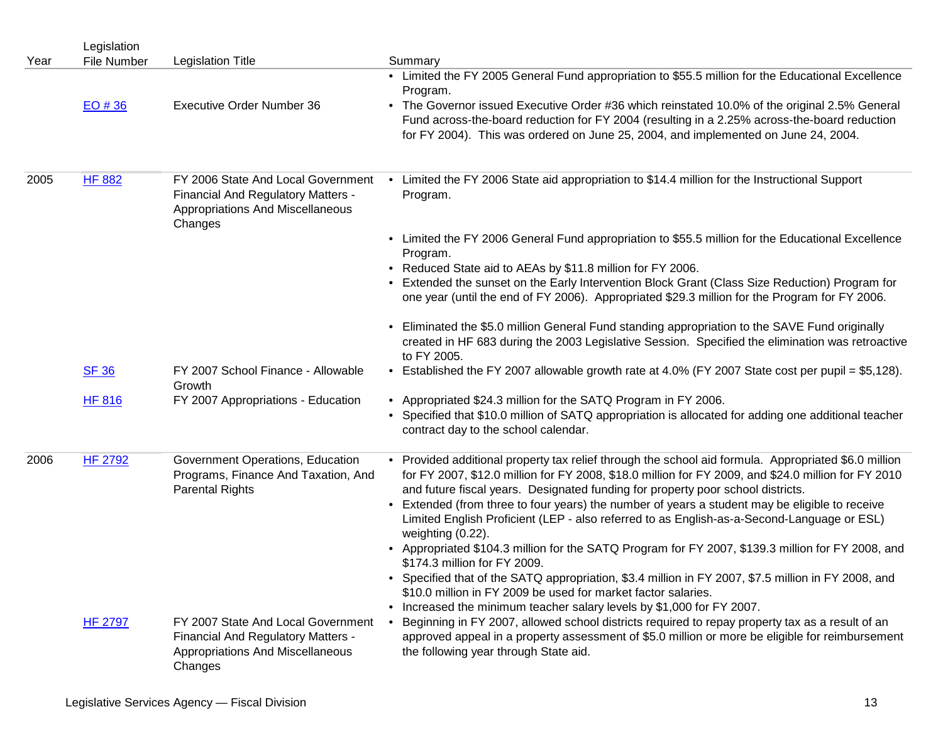|      | Legislation    |                                                                                                                         |                                                                                                                                                                                                                                                                                                                                                                                                                                                                                                                                                                                                                                     |
|------|----------------|-------------------------------------------------------------------------------------------------------------------------|-------------------------------------------------------------------------------------------------------------------------------------------------------------------------------------------------------------------------------------------------------------------------------------------------------------------------------------------------------------------------------------------------------------------------------------------------------------------------------------------------------------------------------------------------------------------------------------------------------------------------------------|
| Year | File Number    | <b>Legislation Title</b>                                                                                                | Summary                                                                                                                                                                                                                                                                                                                                                                                                                                                                                                                                                                                                                             |
|      |                |                                                                                                                         | • Limited the FY 2005 General Fund appropriation to \$55.5 million for the Educational Excellence<br>Program.                                                                                                                                                                                                                                                                                                                                                                                                                                                                                                                       |
|      | $EO$ # 36      | <b>Executive Order Number 36</b>                                                                                        | • The Governor issued Executive Order #36 which reinstated 10.0% of the original 2.5% General<br>Fund across-the-board reduction for FY 2004 (resulting in a 2.25% across-the-board reduction<br>for FY 2004). This was ordered on June 25, 2004, and implemented on June 24, 2004.                                                                                                                                                                                                                                                                                                                                                 |
| 2005 | <b>HF 882</b>  | FY 2006 State And Local Government<br>Financial And Regulatory Matters -<br>Appropriations And Miscellaneous<br>Changes | Limited the FY 2006 State aid appropriation to \$14.4 million for the Instructional Support<br>Program.                                                                                                                                                                                                                                                                                                                                                                                                                                                                                                                             |
|      |                |                                                                                                                         | • Limited the FY 2006 General Fund appropriation to \$55.5 million for the Educational Excellence<br>Program.                                                                                                                                                                                                                                                                                                                                                                                                                                                                                                                       |
|      |                |                                                                                                                         | • Reduced State aid to AEAs by \$11.8 million for FY 2006.                                                                                                                                                                                                                                                                                                                                                                                                                                                                                                                                                                          |
|      |                |                                                                                                                         | Extended the sunset on the Early Intervention Block Grant (Class Size Reduction) Program for<br>one year (until the end of FY 2006). Appropriated \$29.3 million for the Program for FY 2006.                                                                                                                                                                                                                                                                                                                                                                                                                                       |
|      |                |                                                                                                                         | Eliminated the \$5.0 million General Fund standing appropriation to the SAVE Fund originally<br>created in HF 683 during the 2003 Legislative Session. Specified the elimination was retroactive<br>to FY 2005.                                                                                                                                                                                                                                                                                                                                                                                                                     |
|      | <b>SF 36</b>   | FY 2007 School Finance - Allowable<br>Growth                                                                            | • Established the FY 2007 allowable growth rate at 4.0% (FY 2007 State cost per pupil = \$5,128).                                                                                                                                                                                                                                                                                                                                                                                                                                                                                                                                   |
|      | <b>HF 816</b>  | FY 2007 Appropriations - Education                                                                                      | • Appropriated \$24.3 million for the SATQ Program in FY 2006.                                                                                                                                                                                                                                                                                                                                                                                                                                                                                                                                                                      |
|      |                |                                                                                                                         | • Specified that \$10.0 million of SATQ appropriation is allocated for adding one additional teacher<br>contract day to the school calendar.                                                                                                                                                                                                                                                                                                                                                                                                                                                                                        |
| 2006 | <b>HF 2792</b> | Government Operations, Education<br>Programs, Finance And Taxation, And<br><b>Parental Rights</b>                       | • Provided additional property tax relief through the school aid formula. Appropriated \$6.0 million<br>for FY 2007, \$12.0 million for FY 2008, \$18.0 million for FY 2009, and \$24.0 million for FY 2010<br>and future fiscal years. Designated funding for property poor school districts.<br>Extended (from three to four years) the number of years a student may be eligible to receive<br>$\bullet$<br>Limited English Proficient (LEP - also referred to as English-as-a-Second-Language or ESL)<br>weighting (0.22).<br>• Appropriated \$104.3 million for the SATQ Program for FY 2007, \$139.3 million for FY 2008, and |
|      |                |                                                                                                                         | \$174.3 million for FY 2009.<br>Specified that of the SATQ appropriation, \$3.4 million in FY 2007, \$7.5 million in FY 2008, and                                                                                                                                                                                                                                                                                                                                                                                                                                                                                                   |
|      |                |                                                                                                                         | \$10.0 million in FY 2009 be used for market factor salaries.<br>• Increased the minimum teacher salary levels by \$1,000 for FY 2007.                                                                                                                                                                                                                                                                                                                                                                                                                                                                                              |
|      | <b>HF 2797</b> | FY 2007 State And Local Government                                                                                      | Beginning in FY 2007, allowed school districts required to repay property tax as a result of an                                                                                                                                                                                                                                                                                                                                                                                                                                                                                                                                     |
|      |                | Financial And Regulatory Matters -<br>Appropriations And Miscellaneous<br>Changes                                       | approved appeal in a property assessment of \$5.0 million or more be eligible for reimbursement<br>the following year through State aid.                                                                                                                                                                                                                                                                                                                                                                                                                                                                                            |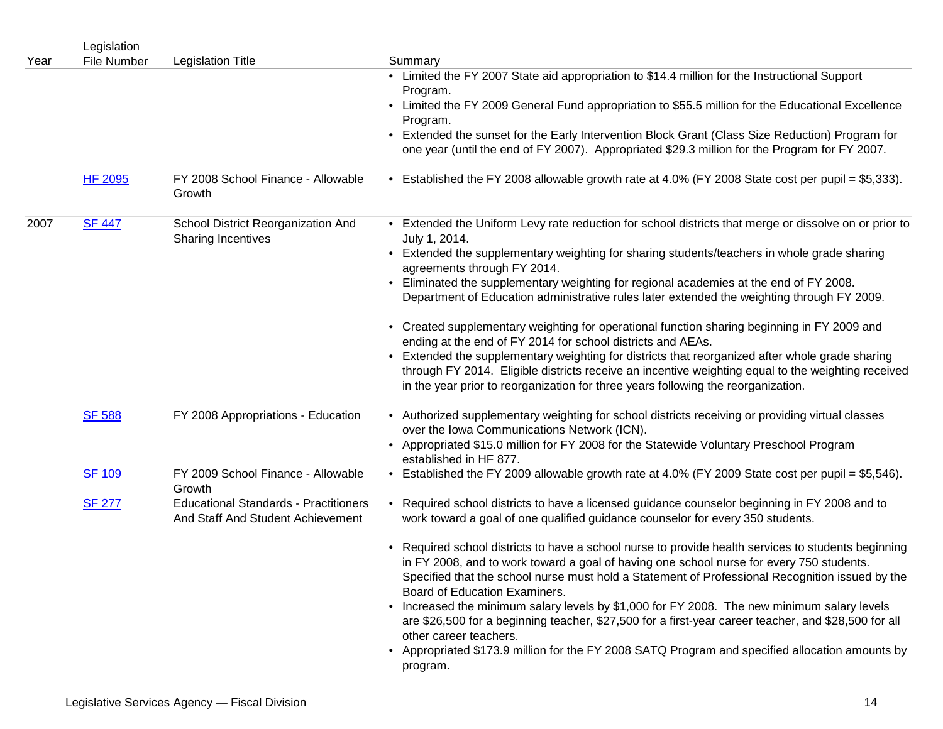|      | Legislation    |                                                                                   |                                                                                                                                                                                                                                                                                                                                     |
|------|----------------|-----------------------------------------------------------------------------------|-------------------------------------------------------------------------------------------------------------------------------------------------------------------------------------------------------------------------------------------------------------------------------------------------------------------------------------|
| Year | File Number    | <b>Legislation Title</b>                                                          | Summary                                                                                                                                                                                                                                                                                                                             |
|      |                |                                                                                   | • Limited the FY 2007 State aid appropriation to \$14.4 million for the Instructional Support<br>Program.                                                                                                                                                                                                                           |
|      |                |                                                                                   | • Limited the FY 2009 General Fund appropriation to \$55.5 million for the Educational Excellence<br>Program.                                                                                                                                                                                                                       |
|      |                |                                                                                   | • Extended the sunset for the Early Intervention Block Grant (Class Size Reduction) Program for<br>one year (until the end of FY 2007). Appropriated \$29.3 million for the Program for FY 2007.                                                                                                                                    |
|      | <b>HF 2095</b> | FY 2008 School Finance - Allowable<br>Growth                                      | • Established the FY 2008 allowable growth rate at 4.0% (FY 2008 State cost per pupil = \$5,333).                                                                                                                                                                                                                                   |
| 2007 | <b>SF 447</b>  | School District Reorganization And<br><b>Sharing Incentives</b>                   | • Extended the Uniform Levy rate reduction for school districts that merge or dissolve on or prior to<br>July 1, 2014.                                                                                                                                                                                                              |
|      |                |                                                                                   | • Extended the supplementary weighting for sharing students/teachers in whole grade sharing<br>agreements through FY 2014.                                                                                                                                                                                                          |
|      |                |                                                                                   | . Eliminated the supplementary weighting for regional academies at the end of FY 2008.<br>Department of Education administrative rules later extended the weighting through FY 2009.                                                                                                                                                |
|      |                |                                                                                   | • Created supplementary weighting for operational function sharing beginning in FY 2009 and<br>ending at the end of FY 2014 for school districts and AEAs.                                                                                                                                                                          |
|      |                |                                                                                   | • Extended the supplementary weighting for districts that reorganized after whole grade sharing<br>through FY 2014. Eligible districts receive an incentive weighting equal to the weighting received<br>in the year prior to reorganization for three years following the reorganization.                                          |
|      | <b>SF 588</b>  | FY 2008 Appropriations - Education                                                | • Authorized supplementary weighting for school districts receiving or providing virtual classes<br>over the Iowa Communications Network (ICN).                                                                                                                                                                                     |
|      |                |                                                                                   | • Appropriated \$15.0 million for FY 2008 for the Statewide Voluntary Preschool Program<br>established in HF 877.                                                                                                                                                                                                                   |
|      | <b>SF 109</b>  | FY 2009 School Finance - Allowable<br>Growth                                      | • Established the FY 2009 allowable growth rate at 4.0% (FY 2009 State cost per pupil = \$5,546).                                                                                                                                                                                                                                   |
|      | <b>SF 277</b>  | <b>Educational Standards - Practitioners</b><br>And Staff And Student Achievement | • Required school districts to have a licensed guidance counselor beginning in FY 2008 and to<br>work toward a goal of one qualified guidance counselor for every 350 students.                                                                                                                                                     |
|      |                |                                                                                   | • Required school districts to have a school nurse to provide health services to students beginning<br>in FY 2008, and to work toward a goal of having one school nurse for every 750 students.<br>Specified that the school nurse must hold a Statement of Professional Recognition issued by the<br>Board of Education Examiners. |
|      |                |                                                                                   | • Increased the minimum salary levels by \$1,000 for FY 2008. The new minimum salary levels<br>are \$26,500 for a beginning teacher, \$27,500 for a first-year career teacher, and \$28,500 for all<br>other career teachers.                                                                                                       |
|      |                |                                                                                   | • Appropriated \$173.9 million for the FY 2008 SATQ Program and specified allocation amounts by<br>program.                                                                                                                                                                                                                         |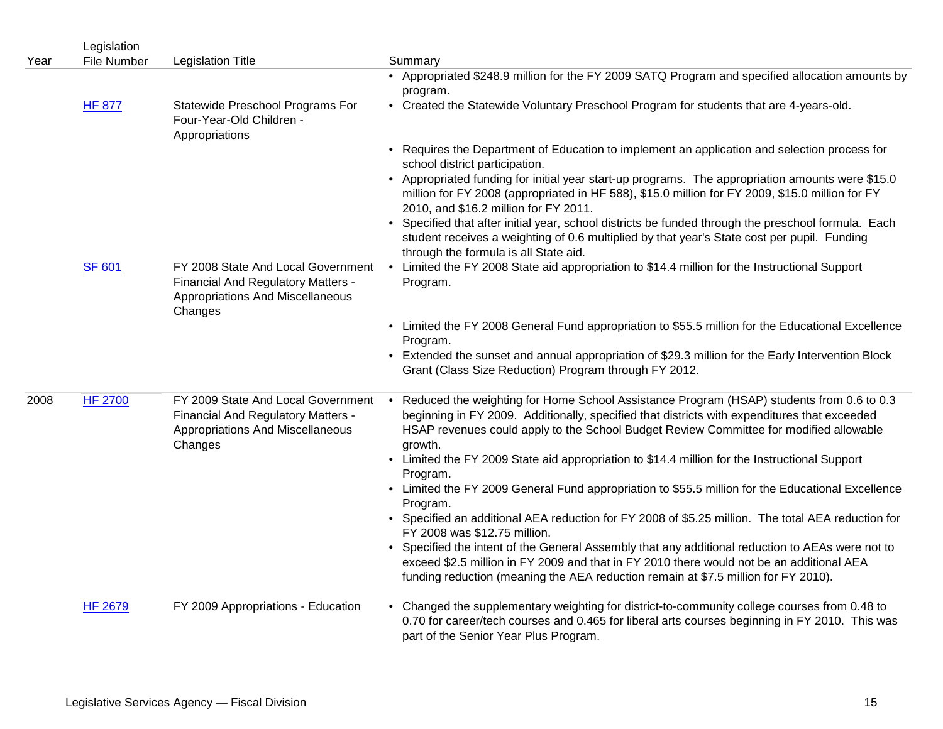| Year | Legislation<br><b>File Number</b> | <b>Legislation Title</b>                                                                                                       | Summary                                                                                                                                                                                                                                                                                         |
|------|-----------------------------------|--------------------------------------------------------------------------------------------------------------------------------|-------------------------------------------------------------------------------------------------------------------------------------------------------------------------------------------------------------------------------------------------------------------------------------------------|
|      | <b>HF 877</b>                     | Statewide Preschool Programs For                                                                                               | • Appropriated \$248.9 million for the FY 2009 SATQ Program and specified allocation amounts by<br>program.<br>• Created the Statewide Voluntary Preschool Program for students that are 4-years-old.                                                                                           |
|      |                                   | Four-Year-Old Children -<br>Appropriations                                                                                     |                                                                                                                                                                                                                                                                                                 |
|      |                                   |                                                                                                                                | • Requires the Department of Education to implement an application and selection process for<br>school district participation.                                                                                                                                                                  |
|      |                                   |                                                                                                                                | • Appropriated funding for initial year start-up programs. The appropriation amounts were \$15.0<br>million for FY 2008 (appropriated in HF 588), \$15.0 million for FY 2009, \$15.0 million for FY<br>2010, and \$16.2 million for FY 2011.                                                    |
|      |                                   |                                                                                                                                | • Specified that after initial year, school districts be funded through the preschool formula. Each<br>student receives a weighting of 0.6 multiplied by that year's State cost per pupil. Funding<br>through the formula is all State aid.                                                     |
|      | <b>SF 601</b>                     | FY 2008 State And Local Government<br>Financial And Regulatory Matters -<br>Appropriations And Miscellaneous<br>Changes        | • Limited the FY 2008 State aid appropriation to \$14.4 million for the Instructional Support<br>Program.                                                                                                                                                                                       |
|      |                                   |                                                                                                                                | • Limited the FY 2008 General Fund appropriation to \$55.5 million for the Educational Excellence<br>Program.                                                                                                                                                                                   |
|      |                                   |                                                                                                                                | • Extended the sunset and annual appropriation of \$29.3 million for the Early Intervention Block<br>Grant (Class Size Reduction) Program through FY 2012.                                                                                                                                      |
| 2008 | <b>HF 2700</b>                    | FY 2009 State And Local Government<br><b>Financial And Regulatory Matters -</b><br>Appropriations And Miscellaneous<br>Changes | • Reduced the weighting for Home School Assistance Program (HSAP) students from 0.6 to 0.3<br>beginning in FY 2009. Additionally, specified that districts with expenditures that exceeded<br>HSAP revenues could apply to the School Budget Review Committee for modified allowable<br>growth. |
|      |                                   |                                                                                                                                | • Limited the FY 2009 State aid appropriation to \$14.4 million for the Instructional Support<br>Program.                                                                                                                                                                                       |
|      |                                   |                                                                                                                                | • Limited the FY 2009 General Fund appropriation to \$55.5 million for the Educational Excellence<br>Program.                                                                                                                                                                                   |
|      |                                   |                                                                                                                                | • Specified an additional AEA reduction for FY 2008 of \$5.25 million. The total AEA reduction for<br>FY 2008 was \$12.75 million.                                                                                                                                                              |
|      |                                   |                                                                                                                                | • Specified the intent of the General Assembly that any additional reduction to AEAs were not to<br>exceed \$2.5 million in FY 2009 and that in FY 2010 there would not be an additional AEA<br>funding reduction (meaning the AEA reduction remain at \$7.5 million for FY 2010).              |
|      | <b>HF 2679</b>                    | FY 2009 Appropriations - Education                                                                                             | • Changed the supplementary weighting for district-to-community college courses from 0.48 to<br>0.70 for career/tech courses and 0.465 for liberal arts courses beginning in FY 2010. This was<br>part of the Senior Year Plus Program.                                                         |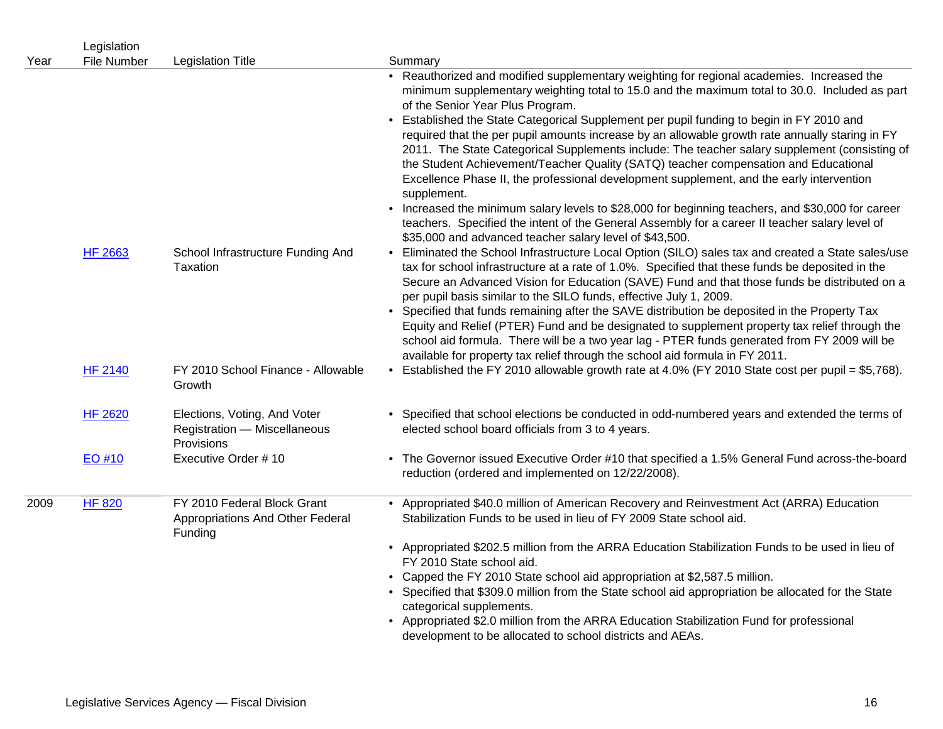| Year | Legislation<br><b>File Number</b> | <b>Legislation Title</b>                                                   | Summary                                                                                                                                                                                                                                                                                                                                                                                                                                                                                                                                                                                                                                                                                                                                                                                                                                                                                                                                                                                            |
|------|-----------------------------------|----------------------------------------------------------------------------|----------------------------------------------------------------------------------------------------------------------------------------------------------------------------------------------------------------------------------------------------------------------------------------------------------------------------------------------------------------------------------------------------------------------------------------------------------------------------------------------------------------------------------------------------------------------------------------------------------------------------------------------------------------------------------------------------------------------------------------------------------------------------------------------------------------------------------------------------------------------------------------------------------------------------------------------------------------------------------------------------|
|      |                                   |                                                                            | • Reauthorized and modified supplementary weighting for regional academies. Increased the<br>minimum supplementary weighting total to 15.0 and the maximum total to 30.0. Included as part<br>of the Senior Year Plus Program.<br>• Established the State Categorical Supplement per pupil funding to begin in FY 2010 and<br>required that the per pupil amounts increase by an allowable growth rate annually staring in FY<br>2011. The State Categorical Supplements include: The teacher salary supplement (consisting of<br>the Student Achievement/Teacher Quality (SATQ) teacher compensation and Educational<br>Excellence Phase II, the professional development supplement, and the early intervention<br>supplement.<br>• Increased the minimum salary levels to \$28,000 for beginning teachers, and \$30,000 for career<br>teachers. Specified the intent of the General Assembly for a career II teacher salary level of<br>\$35,000 and advanced teacher salary level of \$43,500. |
|      | <b>HF 2663</b>                    | School Infrastructure Funding And<br>Taxation                              | • Eliminated the School Infrastructure Local Option (SILO) sales tax and created a State sales/use<br>tax for school infrastructure at a rate of 1.0%. Specified that these funds be deposited in the<br>Secure an Advanced Vision for Education (SAVE) Fund and that those funds be distributed on a<br>per pupil basis similar to the SILO funds, effective July 1, 2009.<br>• Specified that funds remaining after the SAVE distribution be deposited in the Property Tax<br>Equity and Relief (PTER) Fund and be designated to supplement property tax relief through the<br>school aid formula. There will be a two year lag - PTER funds generated from FY 2009 will be<br>available for property tax relief through the school aid formula in FY 2011.                                                                                                                                                                                                                                      |
|      | <b>HF 2140</b>                    | FY 2010 School Finance - Allowable<br>Growth                               | • Established the FY 2010 allowable growth rate at 4.0% (FY 2010 State cost per pupil = \$5,768).                                                                                                                                                                                                                                                                                                                                                                                                                                                                                                                                                                                                                                                                                                                                                                                                                                                                                                  |
|      | <b>HF 2620</b>                    | Elections, Voting, And Voter<br>Registration - Miscellaneous<br>Provisions | • Specified that school elections be conducted in odd-numbered years and extended the terms of<br>elected school board officials from 3 to 4 years.                                                                                                                                                                                                                                                                                                                                                                                                                                                                                                                                                                                                                                                                                                                                                                                                                                                |
|      | EO #10                            | Executive Order #10                                                        | • The Governor issued Executive Order #10 that specified a 1.5% General Fund across-the-board<br>reduction (ordered and implemented on 12/22/2008).                                                                                                                                                                                                                                                                                                                                                                                                                                                                                                                                                                                                                                                                                                                                                                                                                                                |
| 2009 | <b>HF 820</b>                     | FY 2010 Federal Block Grant<br>Appropriations And Other Federal<br>Funding | • Appropriated \$40.0 million of American Recovery and Reinvestment Act (ARRA) Education<br>Stabilization Funds to be used in lieu of FY 2009 State school aid.<br>• Appropriated \$202.5 million from the ARRA Education Stabilization Funds to be used in lieu of<br>FY 2010 State school aid.<br>• Capped the FY 2010 State school aid appropriation at \$2,587.5 million.<br>• Specified that \$309.0 million from the State school aid appropriation be allocated for the State<br>categorical supplements.<br>• Appropriated \$2.0 million from the ARRA Education Stabilization Fund for professional<br>development to be allocated to school districts and AEAs.                                                                                                                                                                                                                                                                                                                          |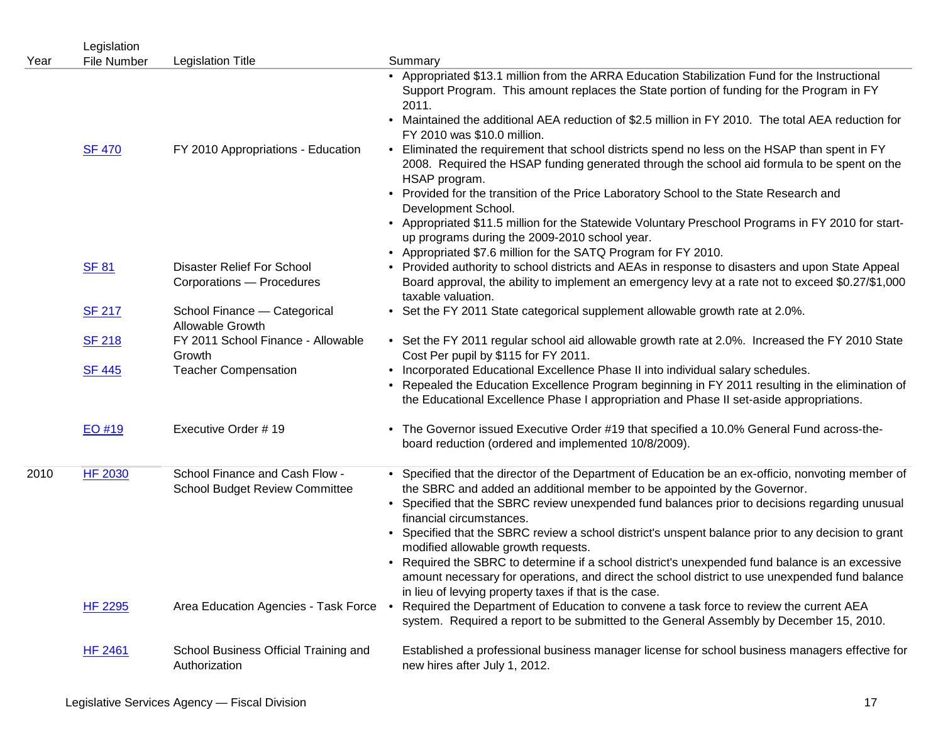| Year | Legislation<br><b>File Number</b> | <b>Legislation Title</b>                                                | Summary                                                                                                                                                                                                                                                                                                                                         |
|------|-----------------------------------|-------------------------------------------------------------------------|-------------------------------------------------------------------------------------------------------------------------------------------------------------------------------------------------------------------------------------------------------------------------------------------------------------------------------------------------|
|      |                                   |                                                                         | • Appropriated \$13.1 million from the ARRA Education Stabilization Fund for the Instructional<br>Support Program. This amount replaces the State portion of funding for the Program in FY<br>2011.<br>• Maintained the additional AEA reduction of \$2.5 million in FY 2010. The total AEA reduction for<br>FY 2010 was \$10.0 million.        |
|      | <b>SF 470</b>                     | FY 2010 Appropriations - Education                                      | • Eliminated the requirement that school districts spend no less on the HSAP than spent in FY<br>2008. Required the HSAP funding generated through the school aid formula to be spent on the<br>HSAP program.                                                                                                                                   |
|      |                                   |                                                                         | • Provided for the transition of the Price Laboratory School to the State Research and<br>Development School.<br>• Appropriated \$11.5 million for the Statewide Voluntary Preschool Programs in FY 2010 for start-                                                                                                                             |
|      |                                   |                                                                         | up programs during the 2009-2010 school year.<br>• Appropriated \$7.6 million for the SATQ Program for FY 2010.                                                                                                                                                                                                                                 |
|      | <b>SF 81</b>                      | Disaster Relief For School<br>Corporations - Procedures                 | • Provided authority to school districts and AEAs in response to disasters and upon State Appeal<br>Board approval, the ability to implement an emergency levy at a rate not to exceed \$0.27/\$1,000<br>taxable valuation.                                                                                                                     |
|      | <b>SF 217</b>                     | School Finance - Categorical<br>Allowable Growth                        | • Set the FY 2011 State categorical supplement allowable growth rate at 2.0%.                                                                                                                                                                                                                                                                   |
|      | <b>SF 218</b>                     | FY 2011 School Finance - Allowable<br>Growth                            | • Set the FY 2011 regular school aid allowable growth rate at 2.0%. Increased the FY 2010 State<br>Cost Per pupil by \$115 for FY 2011.                                                                                                                                                                                                         |
|      | <b>SF 445</b>                     | <b>Teacher Compensation</b>                                             | • Incorporated Educational Excellence Phase II into individual salary schedules.<br>• Repealed the Education Excellence Program beginning in FY 2011 resulting in the elimination of<br>the Educational Excellence Phase I appropriation and Phase II set-aside appropriations.                                                                 |
|      | EO #19                            | Executive Order #19                                                     | • The Governor issued Executive Order #19 that specified a 10.0% General Fund across-the-<br>board reduction (ordered and implemented 10/8/2009).                                                                                                                                                                                               |
| 2010 | <b>HF 2030</b>                    | School Finance and Cash Flow -<br><b>School Budget Review Committee</b> | • Specified that the director of the Department of Education be an ex-officio, nonvoting member of<br>the SBRC and added an additional member to be appointed by the Governor.<br>• Specified that the SBRC review unexpended fund balances prior to decisions regarding unusual<br>financial circumstances.                                    |
|      |                                   |                                                                         | • Specified that the SBRC review a school district's unspent balance prior to any decision to grant<br>modified allowable growth requests.<br>• Required the SBRC to determine if a school district's unexpended fund balance is an excessive<br>amount necessary for operations, and direct the school district to use unexpended fund balance |
|      | <b>HF 2295</b>                    | Area Education Agencies - Task Force .                                  | in lieu of levying property taxes if that is the case.<br>Required the Department of Education to convene a task force to review the current AEA                                                                                                                                                                                                |
|      |                                   |                                                                         | system. Required a report to be submitted to the General Assembly by December 15, 2010.                                                                                                                                                                                                                                                         |
|      | <b>HF 2461</b>                    | School Business Official Training and<br>Authorization                  | Established a professional business manager license for school business managers effective for<br>new hires after July 1, 2012.                                                                                                                                                                                                                 |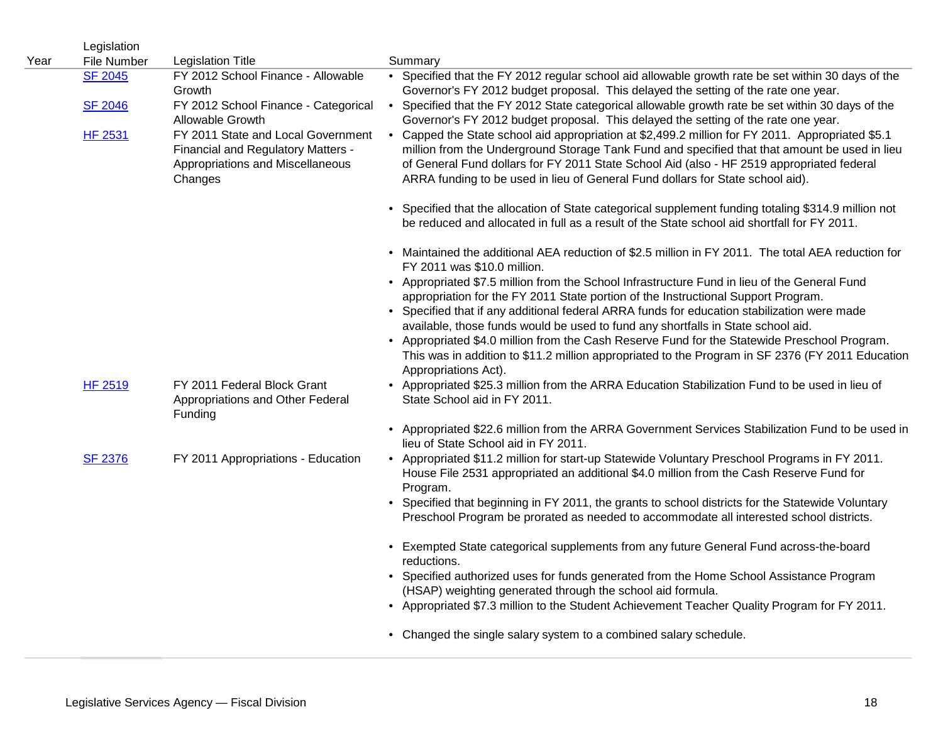| Year | Legislation<br><b>File Number</b> | <b>Legislation Title</b>                                                                                                | Summary                                                                                                                                                                                                                                                                                                                                                                                                                                                                                                                                                                                          |
|------|-----------------------------------|-------------------------------------------------------------------------------------------------------------------------|--------------------------------------------------------------------------------------------------------------------------------------------------------------------------------------------------------------------------------------------------------------------------------------------------------------------------------------------------------------------------------------------------------------------------------------------------------------------------------------------------------------------------------------------------------------------------------------------------|
|      | <b>SF 2045</b>                    | FY 2012 School Finance - Allowable<br>Growth                                                                            | • Specified that the FY 2012 regular school aid allowable growth rate be set within 30 days of the<br>Governor's FY 2012 budget proposal. This delayed the setting of the rate one year.                                                                                                                                                                                                                                                                                                                                                                                                         |
|      | <b>SF 2046</b>                    | FY 2012 School Finance - Categorical<br>Allowable Growth                                                                | • Specified that the FY 2012 State categorical allowable growth rate be set within 30 days of the<br>Governor's FY 2012 budget proposal. This delayed the setting of the rate one year.                                                                                                                                                                                                                                                                                                                                                                                                          |
|      | <b>HF 2531</b>                    | FY 2011 State and Local Government<br>Financial and Regulatory Matters -<br>Appropriations and Miscellaneous<br>Changes | • Capped the State school aid appropriation at \$2,499.2 million for FY 2011. Appropriated \$5.1<br>million from the Underground Storage Tank Fund and specified that that amount be used in lieu<br>of General Fund dollars for FY 2011 State School Aid (also - HF 2519 appropriated federal<br>ARRA funding to be used in lieu of General Fund dollars for State school aid).                                                                                                                                                                                                                 |
|      |                                   |                                                                                                                         | Specified that the allocation of State categorical supplement funding totaling \$314.9 million not<br>be reduced and allocated in full as a result of the State school aid shortfall for FY 2011.                                                                                                                                                                                                                                                                                                                                                                                                |
|      |                                   |                                                                                                                         | • Maintained the additional AEA reduction of \$2.5 million in FY 2011. The total AEA reduction for<br>FY 2011 was \$10.0 million.                                                                                                                                                                                                                                                                                                                                                                                                                                                                |
|      |                                   |                                                                                                                         | • Appropriated \$7.5 million from the School Infrastructure Fund in lieu of the General Fund<br>appropriation for the FY 2011 State portion of the Instructional Support Program.<br>• Specified that if any additional federal ARRA funds for education stabilization were made<br>available, those funds would be used to fund any shortfalls in State school aid.<br>• Appropriated \$4.0 million from the Cash Reserve Fund for the Statewide Preschool Program.<br>This was in addition to \$11.2 million appropriated to the Program in SF 2376 (FY 2011 Education<br>Appropriations Act). |
|      | <b>HF 2519</b>                    | FY 2011 Federal Block Grant<br>Appropriations and Other Federal<br>Funding                                              | • Appropriated \$25.3 million from the ARRA Education Stabilization Fund to be used in lieu of<br>State School aid in FY 2011.                                                                                                                                                                                                                                                                                                                                                                                                                                                                   |
|      |                                   |                                                                                                                         | • Appropriated \$22.6 million from the ARRA Government Services Stabilization Fund to be used in<br>lieu of State School aid in FY 2011.                                                                                                                                                                                                                                                                                                                                                                                                                                                         |
|      | <b>SF 2376</b>                    | FY 2011 Appropriations - Education                                                                                      | • Appropriated \$11.2 million for start-up Statewide Voluntary Preschool Programs in FY 2011.<br>House File 2531 appropriated an additional \$4.0 million from the Cash Reserve Fund for<br>Program.<br>• Specified that beginning in FY 2011, the grants to school districts for the Statewide Voluntary<br>Preschool Program be prorated as needed to accommodate all interested school districts.                                                                                                                                                                                             |
|      |                                   |                                                                                                                         | • Exempted State categorical supplements from any future General Fund across-the-board<br>reductions.                                                                                                                                                                                                                                                                                                                                                                                                                                                                                            |
|      |                                   |                                                                                                                         | • Specified authorized uses for funds generated from the Home School Assistance Program<br>(HSAP) weighting generated through the school aid formula.                                                                                                                                                                                                                                                                                                                                                                                                                                            |
|      |                                   |                                                                                                                         | • Appropriated \$7.3 million to the Student Achievement Teacher Quality Program for FY 2011.                                                                                                                                                                                                                                                                                                                                                                                                                                                                                                     |
|      |                                   |                                                                                                                         | • Changed the single salary system to a combined salary schedule.                                                                                                                                                                                                                                                                                                                                                                                                                                                                                                                                |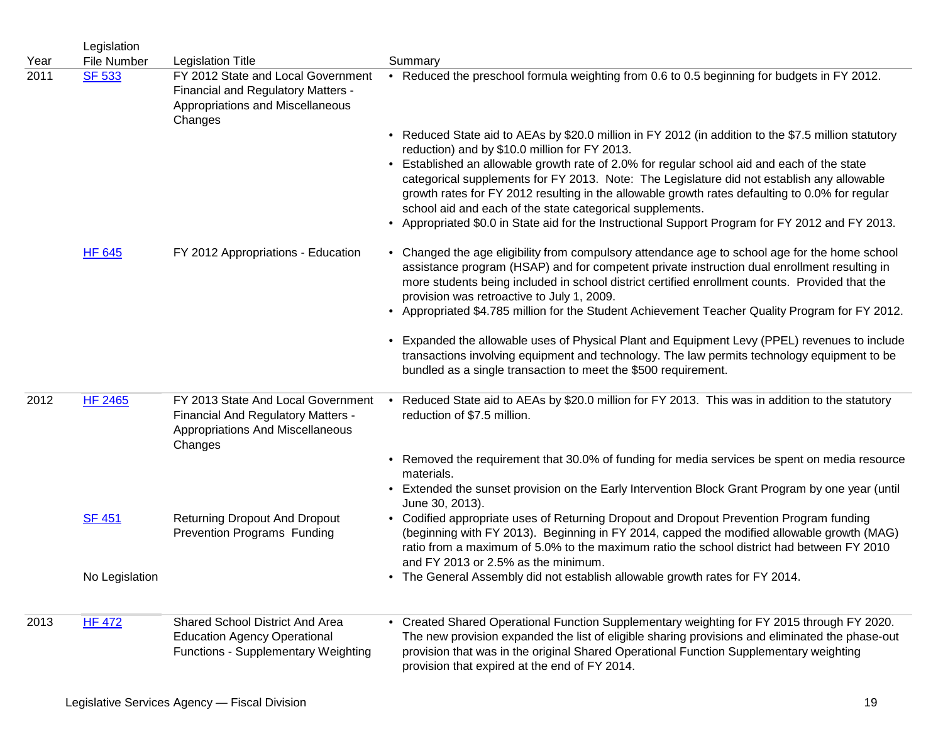|              | Legislation                  |                                                                                                                         |                                                                                                                                                                                                                                                                                                                                                           |
|--------------|------------------------------|-------------------------------------------------------------------------------------------------------------------------|-----------------------------------------------------------------------------------------------------------------------------------------------------------------------------------------------------------------------------------------------------------------------------------------------------------------------------------------------------------|
| Year<br>2011 | File Number<br><b>SF 533</b> | <b>Legislation Title</b><br>FY 2012 State and Local Government                                                          | Summary<br>• Reduced the preschool formula weighting from 0.6 to 0.5 beginning for budgets in FY 2012.                                                                                                                                                                                                                                                    |
|              |                              | Financial and Regulatory Matters -<br>Appropriations and Miscellaneous<br>Changes                                       |                                                                                                                                                                                                                                                                                                                                                           |
|              |                              |                                                                                                                         | • Reduced State aid to AEAs by \$20.0 million in FY 2012 (in addition to the \$7.5 million statutory<br>reduction) and by \$10.0 million for FY 2013.                                                                                                                                                                                                     |
|              |                              |                                                                                                                         | • Established an allowable growth rate of 2.0% for regular school aid and each of the state<br>categorical supplements for FY 2013. Note: The Legislature did not establish any allowable<br>growth rates for FY 2012 resulting in the allowable growth rates defaulting to 0.0% for regular<br>school aid and each of the state categorical supplements. |
|              |                              |                                                                                                                         | • Appropriated \$0.0 in State aid for the Instructional Support Program for FY 2012 and FY 2013.                                                                                                                                                                                                                                                          |
|              | <b>HF 645</b>                | FY 2012 Appropriations - Education                                                                                      | • Changed the age eligibility from compulsory attendance age to school age for the home school<br>assistance program (HSAP) and for competent private instruction dual enrollment resulting in<br>more students being included in school district certified enrollment counts. Provided that the<br>provision was retroactive to July 1, 2009.            |
|              |                              |                                                                                                                         | • Appropriated \$4.785 million for the Student Achievement Teacher Quality Program for FY 2012.                                                                                                                                                                                                                                                           |
|              |                              |                                                                                                                         | • Expanded the allowable uses of Physical Plant and Equipment Levy (PPEL) revenues to include<br>transactions involving equipment and technology. The law permits technology equipment to be<br>bundled as a single transaction to meet the \$500 requirement.                                                                                            |
| 2012         | <b>HF 2465</b>               | FY 2013 State And Local Government<br>Financial And Regulatory Matters -<br>Appropriations And Miscellaneous<br>Changes | • Reduced State aid to AEAs by \$20.0 million for FY 2013. This was in addition to the statutory<br>reduction of \$7.5 million.                                                                                                                                                                                                                           |
|              |                              |                                                                                                                         | • Removed the requirement that 30.0% of funding for media services be spent on media resource<br>materials.                                                                                                                                                                                                                                               |
|              |                              |                                                                                                                         | • Extended the sunset provision on the Early Intervention Block Grant Program by one year (until<br>June 30, 2013).                                                                                                                                                                                                                                       |
|              | <b>SF 451</b>                | <b>Returning Dropout And Dropout</b><br>Prevention Programs Funding                                                     | • Codified appropriate uses of Returning Dropout and Dropout Prevention Program funding<br>(beginning with FY 2013). Beginning in FY 2014, capped the modified allowable growth (MAG)<br>ratio from a maximum of 5.0% to the maximum ratio the school district had between FY 2010<br>and FY 2013 or 2.5% as the minimum.                                 |
|              | No Legislation               |                                                                                                                         | • The General Assembly did not establish allowable growth rates for FY 2014.                                                                                                                                                                                                                                                                              |
| 2013         | <b>HF 472</b>                | Shared School District And Area                                                                                         | • Created Shared Operational Function Supplementary weighting for FY 2015 through FY 2020.                                                                                                                                                                                                                                                                |
|              |                              | <b>Education Agency Operational</b><br>Functions - Supplementary Weighting                                              | The new provision expanded the list of eligible sharing provisions and eliminated the phase-out<br>provision that was in the original Shared Operational Function Supplementary weighting<br>provision that expired at the end of FY 2014.                                                                                                                |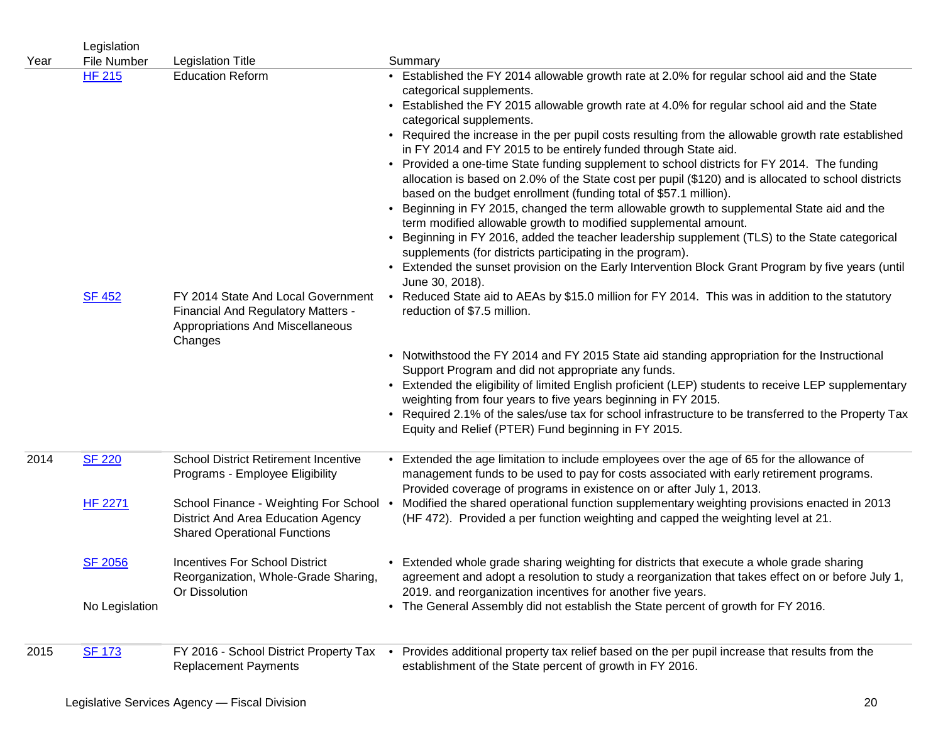|      | Legislation                      |                                                                                                                         |                                                                                                                                                                                                                                                                                                                                                                                                                                                                                                                                                                                                                                                                                                            |
|------|----------------------------------|-------------------------------------------------------------------------------------------------------------------------|------------------------------------------------------------------------------------------------------------------------------------------------------------------------------------------------------------------------------------------------------------------------------------------------------------------------------------------------------------------------------------------------------------------------------------------------------------------------------------------------------------------------------------------------------------------------------------------------------------------------------------------------------------------------------------------------------------|
| Year | File Number                      | <b>Legislation Title</b>                                                                                                | Summary                                                                                                                                                                                                                                                                                                                                                                                                                                                                                                                                                                                                                                                                                                    |
|      | <b>HF 215</b>                    | <b>Education Reform</b>                                                                                                 | • Established the FY 2014 allowable growth rate at 2.0% for regular school aid and the State<br>categorical supplements.<br>• Established the FY 2015 allowable growth rate at 4.0% for regular school aid and the State<br>categorical supplements.<br>• Required the increase in the per pupil costs resulting from the allowable growth rate established<br>in FY 2014 and FY 2015 to be entirely funded through State aid.<br>• Provided a one-time State funding supplement to school districts for FY 2014. The funding<br>allocation is based on 2.0% of the State cost per pupil (\$120) and is allocated to school districts<br>based on the budget enrollment (funding total of \$57.1 million). |
|      |                                  |                                                                                                                         | Beginning in FY 2015, changed the term allowable growth to supplemental State aid and the<br>term modified allowable growth to modified supplemental amount.<br>• Beginning in FY 2016, added the teacher leadership supplement (TLS) to the State categorical<br>supplements (for districts participating in the program).<br>• Extended the sunset provision on the Early Intervention Block Grant Program by five years (until<br>June 30, 2018).                                                                                                                                                                                                                                                       |
|      | <b>SF 452</b>                    | FY 2014 State And Local Government<br>Financial And Regulatory Matters -<br>Appropriations And Miscellaneous<br>Changes | • Reduced State aid to AEAs by \$15.0 million for FY 2014. This was in addition to the statutory<br>reduction of \$7.5 million.                                                                                                                                                                                                                                                                                                                                                                                                                                                                                                                                                                            |
|      |                                  |                                                                                                                         | • Notwithstood the FY 2014 and FY 2015 State aid standing appropriation for the Instructional<br>Support Program and did not appropriate any funds.<br>• Extended the eligibility of limited English proficient (LEP) students to receive LEP supplementary<br>weighting from four years to five years beginning in FY 2015.<br>• Required 2.1% of the sales/use tax for school infrastructure to be transferred to the Property Tax<br>Equity and Relief (PTER) Fund beginning in FY 2015.                                                                                                                                                                                                                |
| 2014 | <b>SF 220</b>                    | <b>School District Retirement Incentive</b><br>Programs - Employee Eligibility                                          | Extended the age limitation to include employees over the age of 65 for the allowance of<br>management funds to be used to pay for costs associated with early retirement programs.<br>Provided coverage of programs in existence on or after July 1, 2013.                                                                                                                                                                                                                                                                                                                                                                                                                                                |
|      | <b>HF 2271</b>                   | School Finance - Weighting For School .<br>District And Area Education Agency<br><b>Shared Operational Functions</b>    | Modified the shared operational function supplementary weighting provisions enacted in 2013<br>(HF 472). Provided a per function weighting and capped the weighting level at 21.                                                                                                                                                                                                                                                                                                                                                                                                                                                                                                                           |
|      | <b>SF 2056</b><br>No Legislation | <b>Incentives For School District</b><br>Reorganization, Whole-Grade Sharing,<br>Or Dissolution                         | • Extended whole grade sharing weighting for districts that execute a whole grade sharing<br>agreement and adopt a resolution to study a reorganization that takes effect on or before July 1,<br>2019. and reorganization incentives for another five years.<br>• The General Assembly did not establish the State percent of growth for FY 2016.                                                                                                                                                                                                                                                                                                                                                         |
|      |                                  |                                                                                                                         |                                                                                                                                                                                                                                                                                                                                                                                                                                                                                                                                                                                                                                                                                                            |
| 2015 | <b>SF 173</b>                    | FY 2016 - School District Property Tax .<br><b>Replacement Payments</b>                                                 | Provides additional property tax relief based on the per pupil increase that results from the<br>establishment of the State percent of growth in FY 2016.                                                                                                                                                                                                                                                                                                                                                                                                                                                                                                                                                  |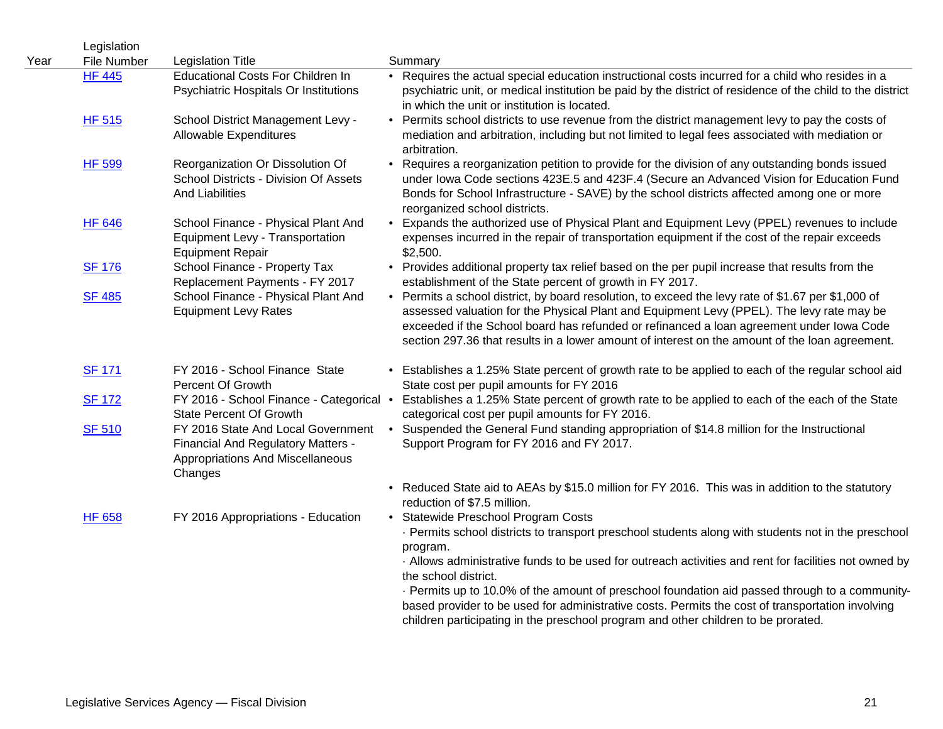| Year | Legislation<br>File Number | <b>Legislation Title</b>                                                                                                       | Summary                                                                                                                                                                                                                                                                                                                                                                                                                                                                                       |
|------|----------------------------|--------------------------------------------------------------------------------------------------------------------------------|-----------------------------------------------------------------------------------------------------------------------------------------------------------------------------------------------------------------------------------------------------------------------------------------------------------------------------------------------------------------------------------------------------------------------------------------------------------------------------------------------|
|      | <b>HF 445</b>              | <b>Educational Costs For Children In</b><br>Psychiatric Hospitals Or Institutions                                              | • Requires the actual special education instructional costs incurred for a child who resides in a<br>psychiatric unit, or medical institution be paid by the district of residence of the child to the district<br>in which the unit or institution is located.                                                                                                                                                                                                                               |
|      | <b>HF 515</b>              | School District Management Levy -<br><b>Allowable Expenditures</b>                                                             | • Permits school districts to use revenue from the district management levy to pay the costs of<br>mediation and arbitration, including but not limited to legal fees associated with mediation or<br>arbitration.                                                                                                                                                                                                                                                                            |
|      | <b>HF 599</b>              | Reorganization Or Dissolution Of<br>School Districts - Division Of Assets<br><b>And Liabilities</b>                            | • Requires a reorganization petition to provide for the division of any outstanding bonds issued<br>under Iowa Code sections 423E.5 and 423F.4 (Secure an Advanced Vision for Education Fund<br>Bonds for School Infrastructure - SAVE) by the school districts affected among one or more<br>reorganized school districts.                                                                                                                                                                   |
|      | <b>HF 646</b>              | School Finance - Physical Plant And<br>Equipment Levy - Transportation<br><b>Equipment Repair</b>                              | • Expands the authorized use of Physical Plant and Equipment Levy (PPEL) revenues to include<br>expenses incurred in the repair of transportation equipment if the cost of the repair exceeds<br>\$2,500.                                                                                                                                                                                                                                                                                     |
|      | <b>SF 176</b>              | School Finance - Property Tax<br>Replacement Payments - FY 2017                                                                | • Provides additional property tax relief based on the per pupil increase that results from the<br>establishment of the State percent of growth in FY 2017.                                                                                                                                                                                                                                                                                                                                   |
|      | <b>SF 485</b>              | School Finance - Physical Plant And<br><b>Equipment Levy Rates</b>                                                             | • Permits a school district, by board resolution, to exceed the levy rate of \$1.67 per \$1,000 of<br>assessed valuation for the Physical Plant and Equipment Levy (PPEL). The levy rate may be<br>exceeded if the School board has refunded or refinanced a loan agreement under lowa Code<br>section 297.36 that results in a lower amount of interest on the amount of the loan agreement.                                                                                                 |
|      | <b>SF 171</b>              | FY 2016 - School Finance State<br>Percent Of Growth                                                                            | • Establishes a 1.25% State percent of growth rate to be applied to each of the regular school aid<br>State cost per pupil amounts for FY 2016                                                                                                                                                                                                                                                                                                                                                |
|      | <b>SF 172</b>              | FY 2016 - School Finance - Categorical •<br><b>State Percent Of Growth</b>                                                     | Establishes a 1.25% State percent of growth rate to be applied to each of the each of the State<br>categorical cost per pupil amounts for FY 2016.                                                                                                                                                                                                                                                                                                                                            |
|      | <b>SF 510</b>              | FY 2016 State And Local Government<br>Financial And Regulatory Matters -<br><b>Appropriations And Miscellaneous</b><br>Changes | • Suspended the General Fund standing appropriation of \$14.8 million for the Instructional<br>Support Program for FY 2016 and FY 2017.                                                                                                                                                                                                                                                                                                                                                       |
|      |                            |                                                                                                                                | • Reduced State aid to AEAs by \$15.0 million for FY 2016. This was in addition to the statutory<br>reduction of \$7.5 million.                                                                                                                                                                                                                                                                                                                                                               |
|      | <b>HF 658</b>              | FY 2016 Appropriations - Education                                                                                             | • Statewide Preschool Program Costs<br>· Permits school districts to transport preschool students along with students not in the preschool<br>program.<br>. Allows administrative funds to be used for outreach activities and rent for facilities not owned by<br>the school district.<br>· Permits up to 10.0% of the amount of preschool foundation aid passed through to a community-<br>based provider to be used for administrative costs. Permits the cost of transportation involving |
|      |                            |                                                                                                                                | children participating in the preschool program and other children to be prorated.                                                                                                                                                                                                                                                                                                                                                                                                            |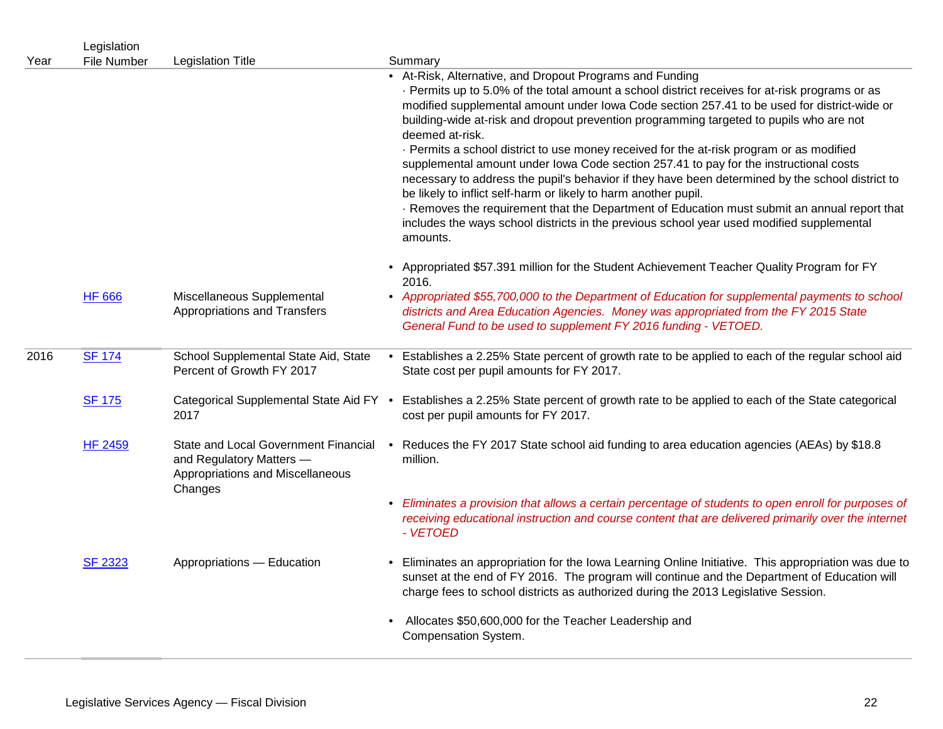|      | Legislation        |                                                                                                                 |                                                                                                                                                                                                                                                                                                                                                                                                                                                                                                                                                              |
|------|--------------------|-----------------------------------------------------------------------------------------------------------------|--------------------------------------------------------------------------------------------------------------------------------------------------------------------------------------------------------------------------------------------------------------------------------------------------------------------------------------------------------------------------------------------------------------------------------------------------------------------------------------------------------------------------------------------------------------|
| Year | <b>File Number</b> | <b>Legislation Title</b>                                                                                        | Summary                                                                                                                                                                                                                                                                                                                                                                                                                                                                                                                                                      |
|      |                    |                                                                                                                 | • At-Risk, Alternative, and Dropout Programs and Funding<br>- Permits up to 5.0% of the total amount a school district receives for at-risk programs or as<br>modified supplemental amount under Iowa Code section 257.41 to be used for district-wide or<br>building-wide at-risk and dropout prevention programming targeted to pupils who are not<br>deemed at-risk.<br>- Permits a school district to use money received for the at-risk program or as modified<br>supplemental amount under lowa Code section 257.41 to pay for the instructional costs |
|      |                    |                                                                                                                 | necessary to address the pupil's behavior if they have been determined by the school district to<br>be likely to inflict self-harm or likely to harm another pupil.<br>. Removes the requirement that the Department of Education must submit an annual report that<br>includes the ways school districts in the previous school year used modified supplemental<br>amounts.                                                                                                                                                                                 |
|      |                    |                                                                                                                 | • Appropriated \$57.391 million for the Student Achievement Teacher Quality Program for FY<br>2016.                                                                                                                                                                                                                                                                                                                                                                                                                                                          |
|      | <b>HF 666</b>      | Miscellaneous Supplemental<br>Appropriations and Transfers                                                      | • Appropriated \$55,700,000 to the Department of Education for supplemental payments to school<br>districts and Area Education Agencies. Money was appropriated from the FY 2015 State<br>General Fund to be used to supplement FY 2016 funding - VETOED.                                                                                                                                                                                                                                                                                                    |
| 2016 | <b>SF 174</b>      | School Supplemental State Aid, State<br>Percent of Growth FY 2017                                               | • Establishes a 2.25% State percent of growth rate to be applied to each of the regular school aid<br>State cost per pupil amounts for FY 2017.                                                                                                                                                                                                                                                                                                                                                                                                              |
|      | <b>SF 175</b>      | Categorical Supplemental State Aid FY .<br>2017                                                                 | Establishes a 2.25% State percent of growth rate to be applied to each of the State categorical<br>cost per pupil amounts for FY 2017.                                                                                                                                                                                                                                                                                                                                                                                                                       |
|      | <b>HF 2459</b>     | State and Local Government Financial<br>and Regulatory Matters -<br>Appropriations and Miscellaneous<br>Changes | • Reduces the FY 2017 State school aid funding to area education agencies (AEAs) by \$18.8<br>million.                                                                                                                                                                                                                                                                                                                                                                                                                                                       |
|      |                    |                                                                                                                 | • Eliminates a provision that allows a certain percentage of students to open enroll for purposes of<br>receiving educational instruction and course content that are delivered primarily over the internet<br>- VETOED                                                                                                                                                                                                                                                                                                                                      |
|      | <b>SF 2323</b>     | Appropriations - Education                                                                                      | • Eliminates an appropriation for the Iowa Learning Online Initiative. This appropriation was due to<br>sunset at the end of FY 2016. The program will continue and the Department of Education will<br>charge fees to school districts as authorized during the 2013 Legislative Session.                                                                                                                                                                                                                                                                   |
|      |                    |                                                                                                                 | • Allocates \$50,600,000 for the Teacher Leadership and<br>Compensation System.                                                                                                                                                                                                                                                                                                                                                                                                                                                                              |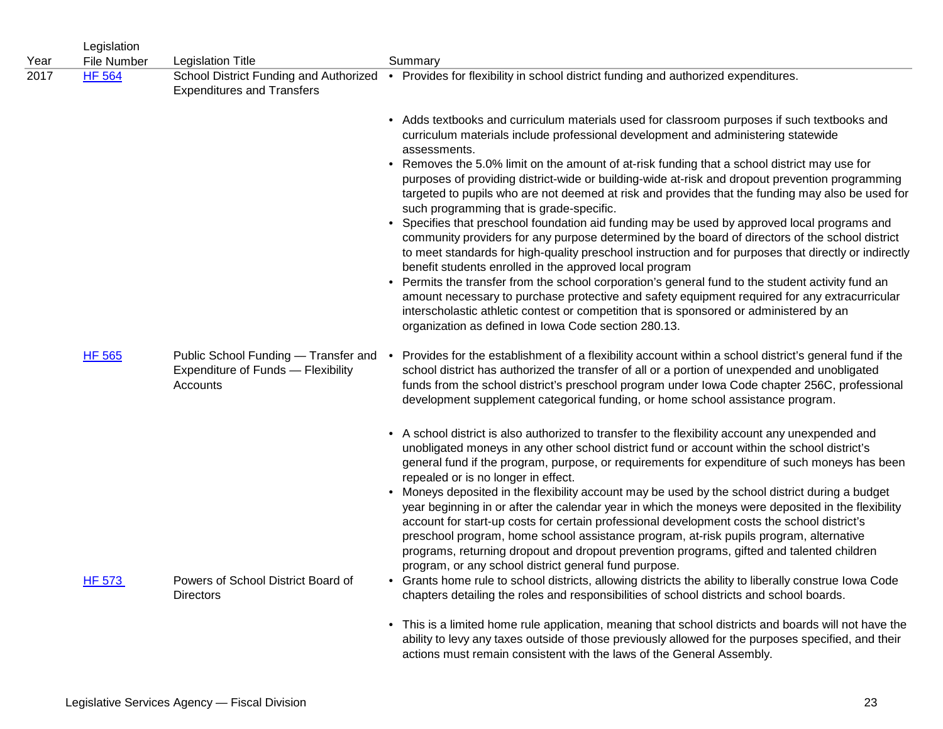|      | Legislation   |                                                                                        |                                                                                                                                                                                                                                                                                                                                                                                                                                                                                                                                                       |
|------|---------------|----------------------------------------------------------------------------------------|-------------------------------------------------------------------------------------------------------------------------------------------------------------------------------------------------------------------------------------------------------------------------------------------------------------------------------------------------------------------------------------------------------------------------------------------------------------------------------------------------------------------------------------------------------|
| Year | File Number   | <b>Legislation Title</b>                                                               | Summary                                                                                                                                                                                                                                                                                                                                                                                                                                                                                                                                               |
| 2017 | <b>HF 564</b> | <b>Expenditures and Transfers</b>                                                      | School District Funding and Authorized • Provides for flexibility in school district funding and authorized expenditures.                                                                                                                                                                                                                                                                                                                                                                                                                             |
|      |               |                                                                                        | • Adds textbooks and curriculum materials used for classroom purposes if such textbooks and<br>curriculum materials include professional development and administering statewide<br>assessments.                                                                                                                                                                                                                                                                                                                                                      |
|      |               |                                                                                        | • Removes the 5.0% limit on the amount of at-risk funding that a school district may use for<br>purposes of providing district-wide or building-wide at-risk and dropout prevention programming<br>targeted to pupils who are not deemed at risk and provides that the funding may also be used for<br>such programming that is grade-specific.                                                                                                                                                                                                       |
|      |               |                                                                                        | • Specifies that preschool foundation aid funding may be used by approved local programs and<br>community providers for any purpose determined by the board of directors of the school district<br>to meet standards for high-quality preschool instruction and for purposes that directly or indirectly<br>benefit students enrolled in the approved local program                                                                                                                                                                                   |
|      |               |                                                                                        | • Permits the transfer from the school corporation's general fund to the student activity fund an<br>amount necessary to purchase protective and safety equipment required for any extracurricular<br>interscholastic athletic contest or competition that is sponsored or administered by an<br>organization as defined in Iowa Code section 280.13.                                                                                                                                                                                                 |
|      | <b>HF 565</b> | Public School Funding — Transfer and<br>Expenditure of Funds - Flexibility<br>Accounts | • Provides for the establishment of a flexibility account within a school district's general fund if the<br>school district has authorized the transfer of all or a portion of unexpended and unobligated<br>funds from the school district's preschool program under lowa Code chapter 256C, professional<br>development supplement categorical funding, or home school assistance program.                                                                                                                                                          |
|      |               |                                                                                        | • A school district is also authorized to transfer to the flexibility account any unexpended and<br>unobligated moneys in any other school district fund or account within the school district's<br>general fund if the program, purpose, or requirements for expenditure of such moneys has been<br>repealed or is no longer in effect.                                                                                                                                                                                                              |
|      |               |                                                                                        | • Moneys deposited in the flexibility account may be used by the school district during a budget<br>year beginning in or after the calendar year in which the moneys were deposited in the flexibility<br>account for start-up costs for certain professional development costs the school district's<br>preschool program, home school assistance program, at-risk pupils program, alternative<br>programs, returning dropout and dropout prevention programs, gifted and talented children<br>program, or any school district general fund purpose. |
|      | <b>HF 573</b> | Powers of School District Board of<br>Directors                                        | • Grants home rule to school districts, allowing districts the ability to liberally construe lowa Code<br>chapters detailing the roles and responsibilities of school districts and school boards.                                                                                                                                                                                                                                                                                                                                                    |
|      |               |                                                                                        | • This is a limited home rule application, meaning that school districts and boards will not have the<br>ability to levy any taxes outside of those previously allowed for the purposes specified, and their<br>actions must remain consistent with the laws of the General Assembly.                                                                                                                                                                                                                                                                 |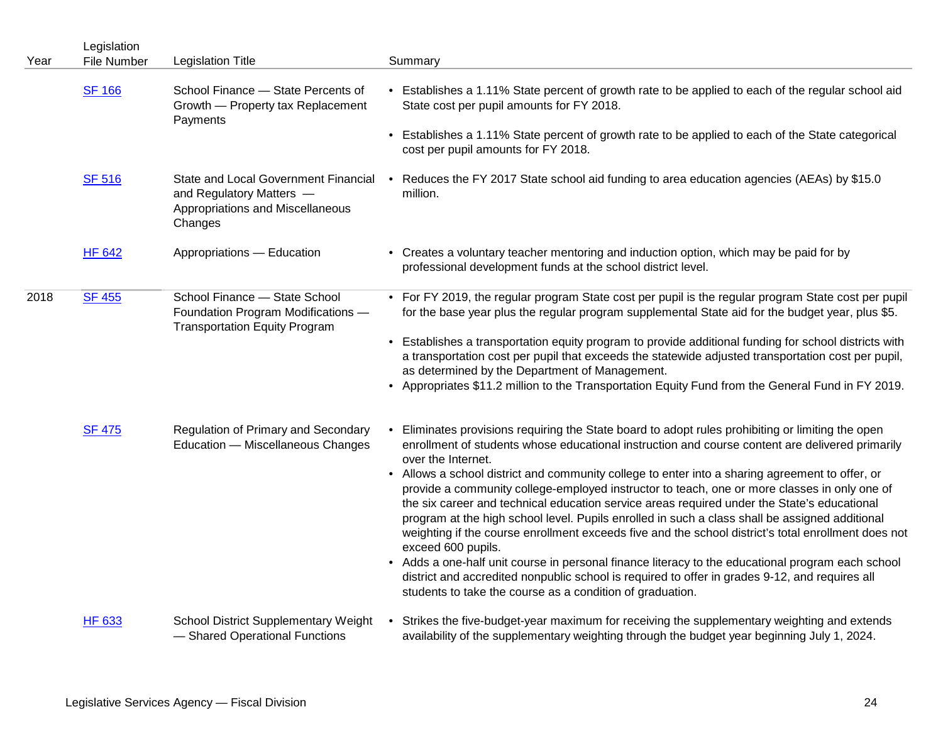|      | Legislation   |                                                                                                                 |                                                                                                                                                                                                                                                                                                                                                                                                                                                                                                                                                                                                                                    |
|------|---------------|-----------------------------------------------------------------------------------------------------------------|------------------------------------------------------------------------------------------------------------------------------------------------------------------------------------------------------------------------------------------------------------------------------------------------------------------------------------------------------------------------------------------------------------------------------------------------------------------------------------------------------------------------------------------------------------------------------------------------------------------------------------|
| Year | File Number   | <b>Legislation Title</b>                                                                                        | Summary                                                                                                                                                                                                                                                                                                                                                                                                                                                                                                                                                                                                                            |
|      | <b>SF 166</b> | School Finance - State Percents of<br>Growth - Property tax Replacement<br>Payments                             | • Establishes a 1.11% State percent of growth rate to be applied to each of the regular school aid<br>State cost per pupil amounts for FY 2018.                                                                                                                                                                                                                                                                                                                                                                                                                                                                                    |
|      |               |                                                                                                                 | • Establishes a 1.11% State percent of growth rate to be applied to each of the State categorical<br>cost per pupil amounts for FY 2018.                                                                                                                                                                                                                                                                                                                                                                                                                                                                                           |
|      | <b>SF 516</b> | State and Local Government Financial<br>and Regulatory Matters -<br>Appropriations and Miscellaneous<br>Changes | • Reduces the FY 2017 State school aid funding to area education agencies (AEAs) by \$15.0<br>million.                                                                                                                                                                                                                                                                                                                                                                                                                                                                                                                             |
|      | <b>HF 642</b> | Appropriations - Education                                                                                      | • Creates a voluntary teacher mentoring and induction option, which may be paid for by<br>professional development funds at the school district level.                                                                                                                                                                                                                                                                                                                                                                                                                                                                             |
| 2018 | <b>SF 455</b> | School Finance - State School<br>Foundation Program Modifications -<br><b>Transportation Equity Program</b>     | • For FY 2019, the regular program State cost per pupil is the regular program State cost per pupil<br>for the base year plus the regular program supplemental State aid for the budget year, plus \$5.                                                                                                                                                                                                                                                                                                                                                                                                                            |
|      |               |                                                                                                                 | • Establishes a transportation equity program to provide additional funding for school districts with<br>a transportation cost per pupil that exceeds the statewide adjusted transportation cost per pupil,<br>as determined by the Department of Management.                                                                                                                                                                                                                                                                                                                                                                      |
|      |               |                                                                                                                 | • Appropriates \$11.2 million to the Transportation Equity Fund from the General Fund in FY 2019.                                                                                                                                                                                                                                                                                                                                                                                                                                                                                                                                  |
|      | <b>SF 475</b> | Regulation of Primary and Secondary<br>Education - Miscellaneous Changes                                        | Eliminates provisions requiring the State board to adopt rules prohibiting or limiting the open<br>enrollment of students whose educational instruction and course content are delivered primarily<br>over the Internet.                                                                                                                                                                                                                                                                                                                                                                                                           |
|      |               |                                                                                                                 | • Allows a school district and community college to enter into a sharing agreement to offer, or<br>provide a community college-employed instructor to teach, one or more classes in only one of<br>the six career and technical education service areas required under the State's educational<br>program at the high school level. Pupils enrolled in such a class shall be assigned additional<br>weighting if the course enrollment exceeds five and the school district's total enrollment does not<br>exceed 600 pupils.<br>• Adds a one-half unit course in personal finance literacy to the educational program each school |
|      |               |                                                                                                                 | district and accredited nonpublic school is required to offer in grades 9-12, and requires all<br>students to take the course as a condition of graduation.                                                                                                                                                                                                                                                                                                                                                                                                                                                                        |
|      | HF 633        | <b>School District Supplementary Weight</b><br>- Shared Operational Functions                                   | • Strikes the five-budget-year maximum for receiving the supplementary weighting and extends<br>availability of the supplementary weighting through the budget year beginning July 1, 2024.                                                                                                                                                                                                                                                                                                                                                                                                                                        |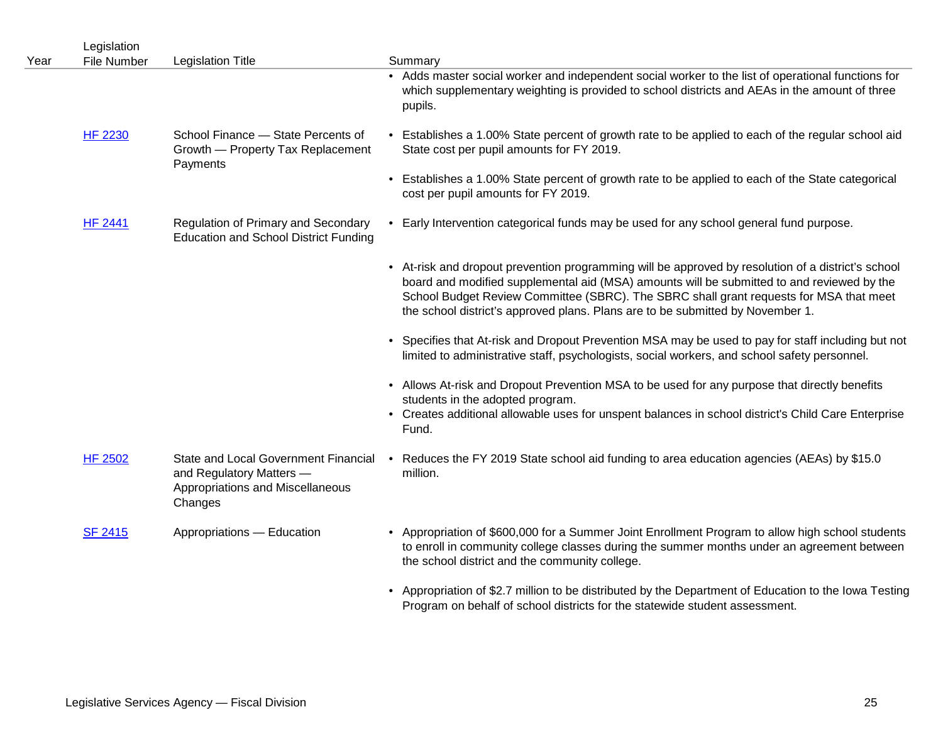| Year | Legislation<br>File Number | <b>Legislation Title</b>                                                                                        | Summary                                                                                                                                                                                                                                                                                                                                                                      |
|------|----------------------------|-----------------------------------------------------------------------------------------------------------------|------------------------------------------------------------------------------------------------------------------------------------------------------------------------------------------------------------------------------------------------------------------------------------------------------------------------------------------------------------------------------|
|      |                            |                                                                                                                 | • Adds master social worker and independent social worker to the list of operational functions for<br>which supplementary weighting is provided to school districts and AEAs in the amount of three<br>pupils.                                                                                                                                                               |
|      | <b>HF 2230</b>             | School Finance - State Percents of<br>Growth - Property Tax Replacement<br>Payments                             | • Establishes a 1.00% State percent of growth rate to be applied to each of the regular school aid<br>State cost per pupil amounts for FY 2019.                                                                                                                                                                                                                              |
|      |                            |                                                                                                                 | • Establishes a 1.00% State percent of growth rate to be applied to each of the State categorical<br>cost per pupil amounts for FY 2019.                                                                                                                                                                                                                                     |
|      | <b>HF 2441</b>             | Regulation of Primary and Secondary<br><b>Education and School District Funding</b>                             | • Early Intervention categorical funds may be used for any school general fund purpose.                                                                                                                                                                                                                                                                                      |
|      |                            |                                                                                                                 | • At-risk and dropout prevention programming will be approved by resolution of a district's school<br>board and modified supplemental aid (MSA) amounts will be submitted to and reviewed by the<br>School Budget Review Committee (SBRC). The SBRC shall grant requests for MSA that meet<br>the school district's approved plans. Plans are to be submitted by November 1. |
|      |                            |                                                                                                                 | Specifies that At-risk and Dropout Prevention MSA may be used to pay for staff including but not<br>$\bullet$<br>limited to administrative staff, psychologists, social workers, and school safety personnel.                                                                                                                                                                |
|      |                            |                                                                                                                 | • Allows At-risk and Dropout Prevention MSA to be used for any purpose that directly benefits<br>students in the adopted program.<br>• Creates additional allowable uses for unspent balances in school district's Child Care Enterprise<br>Fund.                                                                                                                            |
|      | <b>HF 2502</b>             | State and Local Government Financial<br>and Regulatory Matters -<br>Appropriations and Miscellaneous<br>Changes | • Reduces the FY 2019 State school aid funding to area education agencies (AEAs) by \$15.0<br>million.                                                                                                                                                                                                                                                                       |
|      | <b>SF 2415</b>             | Appropriations - Education                                                                                      | • Appropriation of \$600,000 for a Summer Joint Enrollment Program to allow high school students<br>to enroll in community college classes during the summer months under an agreement between<br>the school district and the community college.                                                                                                                             |
|      |                            |                                                                                                                 | • Appropriation of \$2.7 million to be distributed by the Department of Education to the lowa Testing<br>Program on behalf of school districts for the statewide student assessment.                                                                                                                                                                                         |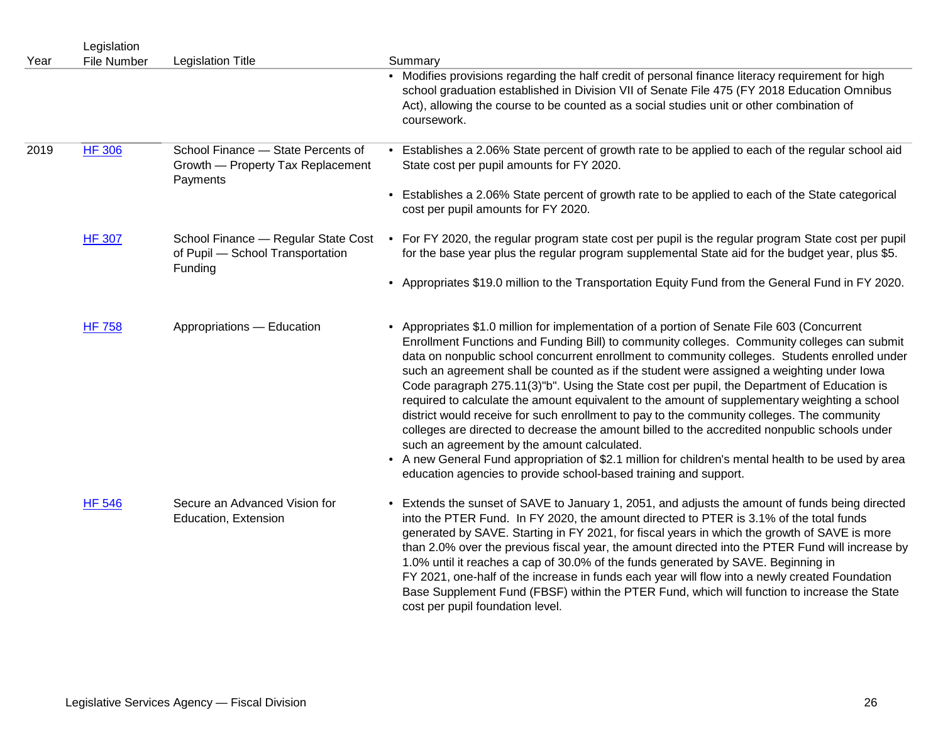| Year | Legislation<br><b>File Number</b> | <b>Legislation Title</b>                                                            | Summary                                                                                                                                                                                                                                                                                                                                                                                                                                                                                                                                                                                                                                                                                                                                                                                                                                                                                                                                                                                                           |
|------|-----------------------------------|-------------------------------------------------------------------------------------|-------------------------------------------------------------------------------------------------------------------------------------------------------------------------------------------------------------------------------------------------------------------------------------------------------------------------------------------------------------------------------------------------------------------------------------------------------------------------------------------------------------------------------------------------------------------------------------------------------------------------------------------------------------------------------------------------------------------------------------------------------------------------------------------------------------------------------------------------------------------------------------------------------------------------------------------------------------------------------------------------------------------|
|      |                                   |                                                                                     | • Modifies provisions regarding the half credit of personal finance literacy requirement for high<br>school graduation established in Division VII of Senate File 475 (FY 2018 Education Omnibus<br>Act), allowing the course to be counted as a social studies unit or other combination of<br>coursework.                                                                                                                                                                                                                                                                                                                                                                                                                                                                                                                                                                                                                                                                                                       |
| 2019 | <b>HF 306</b>                     | School Finance - State Percents of<br>Growth - Property Tax Replacement<br>Payments | • Establishes a 2.06% State percent of growth rate to be applied to each of the regular school aid<br>State cost per pupil amounts for FY 2020.                                                                                                                                                                                                                                                                                                                                                                                                                                                                                                                                                                                                                                                                                                                                                                                                                                                                   |
|      |                                   |                                                                                     | • Establishes a 2.06% State percent of growth rate to be applied to each of the State categorical<br>cost per pupil amounts for FY 2020.                                                                                                                                                                                                                                                                                                                                                                                                                                                                                                                                                                                                                                                                                                                                                                                                                                                                          |
|      | <b>HF 307</b>                     | School Finance - Regular State Cost<br>of Pupil - School Transportation<br>Funding  | • For FY 2020, the regular program state cost per pupil is the regular program State cost per pupil<br>for the base year plus the regular program supplemental State aid for the budget year, plus \$5.                                                                                                                                                                                                                                                                                                                                                                                                                                                                                                                                                                                                                                                                                                                                                                                                           |
|      |                                   |                                                                                     | • Appropriates \$19.0 million to the Transportation Equity Fund from the General Fund in FY 2020.                                                                                                                                                                                                                                                                                                                                                                                                                                                                                                                                                                                                                                                                                                                                                                                                                                                                                                                 |
|      | <b>HF 758</b>                     | Appropriations - Education                                                          | • Appropriates \$1.0 million for implementation of a portion of Senate File 603 (Concurrent<br>Enrollment Functions and Funding Bill) to community colleges. Community colleges can submit<br>data on nonpublic school concurrent enrollment to community colleges. Students enrolled under<br>such an agreement shall be counted as if the student were assigned a weighting under lowa<br>Code paragraph 275.11(3)"b". Using the State cost per pupil, the Department of Education is<br>required to calculate the amount equivalent to the amount of supplementary weighting a school<br>district would receive for such enrollment to pay to the community colleges. The community<br>colleges are directed to decrease the amount billed to the accredited nonpublic schools under<br>such an agreement by the amount calculated.<br>• A new General Fund appropriation of \$2.1 million for children's mental health to be used by area<br>education agencies to provide school-based training and support. |
|      | <b>HF 546</b>                     | Secure an Advanced Vision for<br>Education, Extension                               | • Extends the sunset of SAVE to January 1, 2051, and adjusts the amount of funds being directed<br>into the PTER Fund. In FY 2020, the amount directed to PTER is 3.1% of the total funds<br>generated by SAVE. Starting in FY 2021, for fiscal years in which the growth of SAVE is more<br>than 2.0% over the previous fiscal year, the amount directed into the PTER Fund will increase by<br>1.0% until it reaches a cap of 30.0% of the funds generated by SAVE. Beginning in<br>FY 2021, one-half of the increase in funds each year will flow into a newly created Foundation<br>Base Supplement Fund (FBSF) within the PTER Fund, which will function to increase the State<br>cost per pupil foundation level.                                                                                                                                                                                                                                                                                           |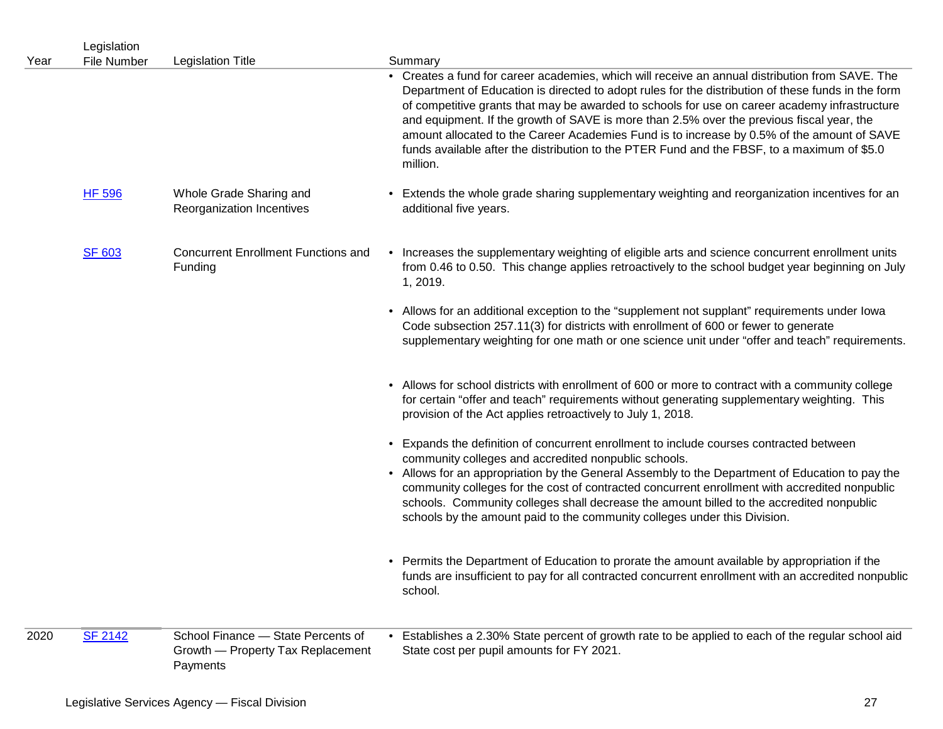| Year | Legislation<br><b>File Number</b> | <b>Legislation Title</b>                                                            | Summary                                                                                                                                                                                                                                                                                                                                                                                                                                                                                                                                                                                                      |
|------|-----------------------------------|-------------------------------------------------------------------------------------|--------------------------------------------------------------------------------------------------------------------------------------------------------------------------------------------------------------------------------------------------------------------------------------------------------------------------------------------------------------------------------------------------------------------------------------------------------------------------------------------------------------------------------------------------------------------------------------------------------------|
|      |                                   |                                                                                     | • Creates a fund for career academies, which will receive an annual distribution from SAVE. The<br>Department of Education is directed to adopt rules for the distribution of these funds in the form<br>of competitive grants that may be awarded to schools for use on career academy infrastructure<br>and equipment. If the growth of SAVE is more than 2.5% over the previous fiscal year, the<br>amount allocated to the Career Academies Fund is to increase by 0.5% of the amount of SAVE<br>funds available after the distribution to the PTER Fund and the FBSF, to a maximum of \$5.0<br>million. |
|      | <b>HF 596</b>                     | Whole Grade Sharing and<br>Reorganization Incentives                                | • Extends the whole grade sharing supplementary weighting and reorganization incentives for an<br>additional five years.                                                                                                                                                                                                                                                                                                                                                                                                                                                                                     |
|      | <b>SF 603</b>                     | <b>Concurrent Enrollment Functions and</b><br>Funding                               | • Increases the supplementary weighting of eligible arts and science concurrent enrollment units<br>from 0.46 to 0.50. This change applies retroactively to the school budget year beginning on July<br>1, 2019.                                                                                                                                                                                                                                                                                                                                                                                             |
|      |                                   |                                                                                     | • Allows for an additional exception to the "supplement not supplant" requirements under lowa<br>Code subsection 257.11(3) for districts with enrollment of 600 or fewer to generate<br>supplementary weighting for one math or one science unit under "offer and teach" requirements.                                                                                                                                                                                                                                                                                                                       |
|      |                                   |                                                                                     | • Allows for school districts with enrollment of 600 or more to contract with a community college<br>for certain "offer and teach" requirements without generating supplementary weighting. This<br>provision of the Act applies retroactively to July 1, 2018.                                                                                                                                                                                                                                                                                                                                              |
|      |                                   |                                                                                     | • Expands the definition of concurrent enrollment to include courses contracted between<br>community colleges and accredited nonpublic schools.<br>• Allows for an appropriation by the General Assembly to the Department of Education to pay the<br>community colleges for the cost of contracted concurrent enrollment with accredited nonpublic<br>schools. Community colleges shall decrease the amount billed to the accredited nonpublic<br>schools by the amount paid to the community colleges under this Division.                                                                                 |
|      |                                   |                                                                                     | • Permits the Department of Education to prorate the amount available by appropriation if the<br>funds are insufficient to pay for all contracted concurrent enrollment with an accredited nonpublic<br>school.                                                                                                                                                                                                                                                                                                                                                                                              |
| 2020 | <b>SF 2142</b>                    | School Finance - State Percents of<br>Growth - Property Tax Replacement<br>Payments | • Establishes a 2.30% State percent of growth rate to be applied to each of the regular school aid<br>State cost per pupil amounts for FY 2021.                                                                                                                                                                                                                                                                                                                                                                                                                                                              |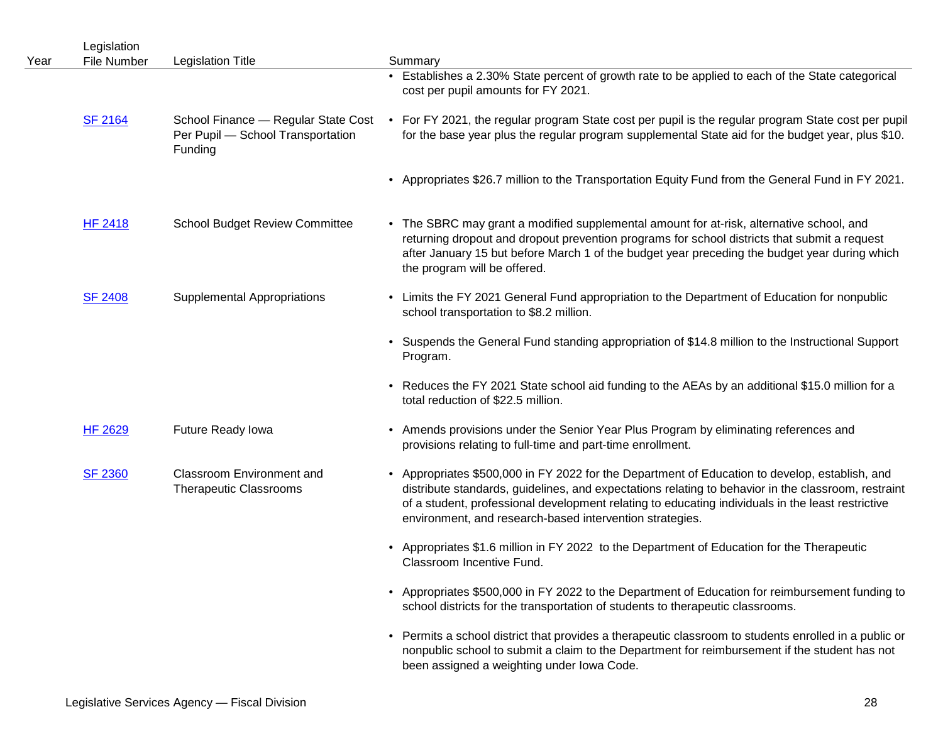| Year | Legislation<br>File Number | <b>Legislation Title</b>                                                            | Summary                                                                                                                                                                                                                                                                                                                                                                |
|------|----------------------------|-------------------------------------------------------------------------------------|------------------------------------------------------------------------------------------------------------------------------------------------------------------------------------------------------------------------------------------------------------------------------------------------------------------------------------------------------------------------|
|      |                            |                                                                                     | • Establishes a 2.30% State percent of growth rate to be applied to each of the State categorical<br>cost per pupil amounts for FY 2021.                                                                                                                                                                                                                               |
|      | <b>SF 2164</b>             | School Finance - Regular State Cost<br>Per Pupil - School Transportation<br>Funding | • For FY 2021, the regular program State cost per pupil is the regular program State cost per pupil<br>for the base year plus the regular program supplemental State aid for the budget year, plus \$10.                                                                                                                                                               |
|      |                            |                                                                                     | • Appropriates \$26.7 million to the Transportation Equity Fund from the General Fund in FY 2021.                                                                                                                                                                                                                                                                      |
|      | <b>HF 2418</b>             | <b>School Budget Review Committee</b>                                               | • The SBRC may grant a modified supplemental amount for at-risk, alternative school, and<br>returning dropout and dropout prevention programs for school districts that submit a request<br>after January 15 but before March 1 of the budget year preceding the budget year during which<br>the program will be offered.                                              |
|      | <b>SF 2408</b>             | <b>Supplemental Appropriations</b>                                                  | • Limits the FY 2021 General Fund appropriation to the Department of Education for nonpublic<br>school transportation to \$8.2 million.                                                                                                                                                                                                                                |
|      |                            |                                                                                     | • Suspends the General Fund standing appropriation of \$14.8 million to the Instructional Support<br>Program.                                                                                                                                                                                                                                                          |
|      |                            |                                                                                     | • Reduces the FY 2021 State school aid funding to the AEAs by an additional \$15.0 million for a<br>total reduction of \$22.5 million.                                                                                                                                                                                                                                 |
|      | <b>HF 2629</b>             | Future Ready Iowa                                                                   | • Amends provisions under the Senior Year Plus Program by eliminating references and<br>provisions relating to full-time and part-time enrollment.                                                                                                                                                                                                                     |
|      | <b>SF 2360</b>             | <b>Classroom Environment and</b><br><b>Therapeutic Classrooms</b>                   | • Appropriates \$500,000 in FY 2022 for the Department of Education to develop, establish, and<br>distribute standards, guidelines, and expectations relating to behavior in the classroom, restraint<br>of a student, professional development relating to educating individuals in the least restrictive<br>environment, and research-based intervention strategies. |
|      |                            |                                                                                     | • Appropriates \$1.6 million in FY 2022 to the Department of Education for the Therapeutic<br>Classroom Incentive Fund.                                                                                                                                                                                                                                                |
|      |                            |                                                                                     | • Appropriates \$500,000 in FY 2022 to the Department of Education for reimbursement funding to<br>school districts for the transportation of students to therapeutic classrooms.                                                                                                                                                                                      |
|      |                            |                                                                                     | • Permits a school district that provides a therapeutic classroom to students enrolled in a public or<br>nonpublic school to submit a claim to the Department for reimbursement if the student has not<br>been assigned a weighting under Iowa Code.                                                                                                                   |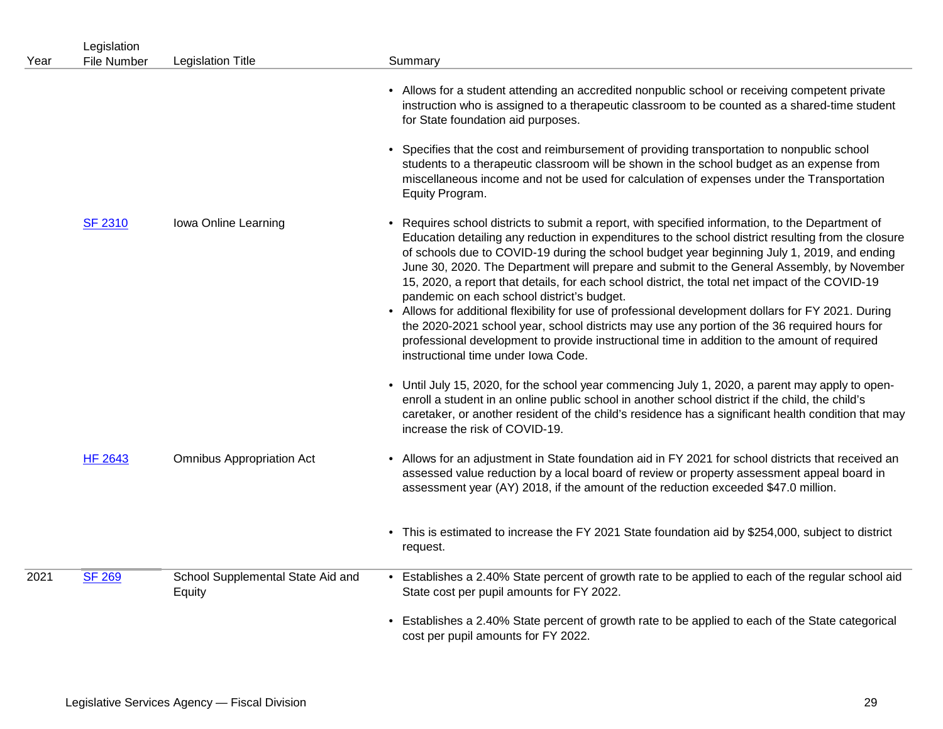| Year | Legislation<br>File Number | <b>Legislation Title</b>                    | Summary                                                                                                                                                                                                                                                                                                                                                                                                                                                                                                                                                                                                                                                                                                                                                                                                                                                                                             |
|------|----------------------------|---------------------------------------------|-----------------------------------------------------------------------------------------------------------------------------------------------------------------------------------------------------------------------------------------------------------------------------------------------------------------------------------------------------------------------------------------------------------------------------------------------------------------------------------------------------------------------------------------------------------------------------------------------------------------------------------------------------------------------------------------------------------------------------------------------------------------------------------------------------------------------------------------------------------------------------------------------------|
|      |                            |                                             | • Allows for a student attending an accredited nonpublic school or receiving competent private<br>instruction who is assigned to a therapeutic classroom to be counted as a shared-time student<br>for State foundation aid purposes.<br>• Specifies that the cost and reimbursement of providing transportation to nonpublic school<br>students to a therapeutic classroom will be shown in the school budget as an expense from<br>miscellaneous income and not be used for calculation of expenses under the Transportation<br>Equity Program.                                                                                                                                                                                                                                                                                                                                                   |
|      | <b>SF 2310</b>             | Iowa Online Learning                        | • Requires school districts to submit a report, with specified information, to the Department of<br>Education detailing any reduction in expenditures to the school district resulting from the closure<br>of schools due to COVID-19 during the school budget year beginning July 1, 2019, and ending<br>June 30, 2020. The Department will prepare and submit to the General Assembly, by November<br>15, 2020, a report that details, for each school district, the total net impact of the COVID-19<br>pandemic on each school district's budget.<br>• Allows for additional flexibility for use of professional development dollars for FY 2021. During<br>the 2020-2021 school year, school districts may use any portion of the 36 required hours for<br>professional development to provide instructional time in addition to the amount of required<br>instructional time under Iowa Code. |
|      |                            |                                             | • Until July 15, 2020, for the school year commencing July 1, 2020, a parent may apply to open-<br>enroll a student in an online public school in another school district if the child, the child's<br>caretaker, or another resident of the child's residence has a significant health condition that may<br>increase the risk of COVID-19.                                                                                                                                                                                                                                                                                                                                                                                                                                                                                                                                                        |
|      | <b>HF 2643</b>             | <b>Omnibus Appropriation Act</b>            | • Allows for an adjustment in State foundation aid in FY 2021 for school districts that received an<br>assessed value reduction by a local board of review or property assessment appeal board in<br>assessment year (AY) 2018, if the amount of the reduction exceeded \$47.0 million.                                                                                                                                                                                                                                                                                                                                                                                                                                                                                                                                                                                                             |
|      |                            |                                             | • This is estimated to increase the FY 2021 State foundation aid by \$254,000, subject to district<br>request.                                                                                                                                                                                                                                                                                                                                                                                                                                                                                                                                                                                                                                                                                                                                                                                      |
| 2021 | <b>SF 269</b>              | School Supplemental State Aid and<br>Equity | • Establishes a 2.40% State percent of growth rate to be applied to each of the regular school aid<br>State cost per pupil amounts for FY 2022.                                                                                                                                                                                                                                                                                                                                                                                                                                                                                                                                                                                                                                                                                                                                                     |
|      |                            |                                             | • Establishes a 2.40% State percent of growth rate to be applied to each of the State categorical<br>cost per pupil amounts for FY 2022.                                                                                                                                                                                                                                                                                                                                                                                                                                                                                                                                                                                                                                                                                                                                                            |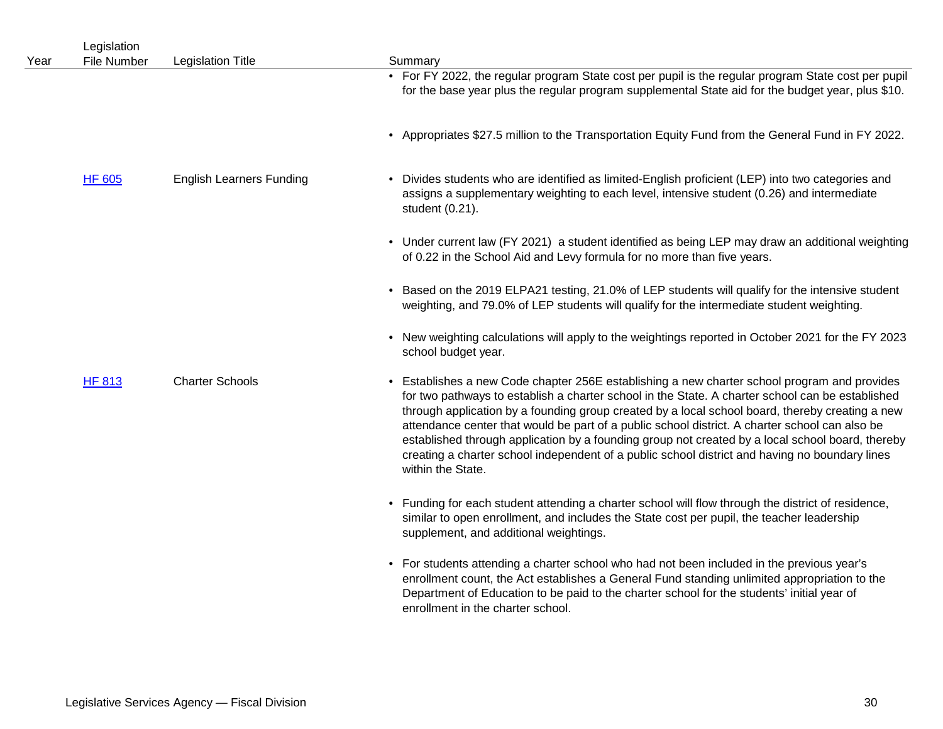| Year | Legislation<br>File Number | <b>Legislation Title</b>        | Summary                                                                                                                                                                                                                                                                                                                                                                                                                                                                                                                                                                                                                          |
|------|----------------------------|---------------------------------|----------------------------------------------------------------------------------------------------------------------------------------------------------------------------------------------------------------------------------------------------------------------------------------------------------------------------------------------------------------------------------------------------------------------------------------------------------------------------------------------------------------------------------------------------------------------------------------------------------------------------------|
|      |                            |                                 | • For FY 2022, the regular program State cost per pupil is the regular program State cost per pupil<br>for the base year plus the regular program supplemental State aid for the budget year, plus \$10.                                                                                                                                                                                                                                                                                                                                                                                                                         |
|      |                            |                                 | • Appropriates \$27.5 million to the Transportation Equity Fund from the General Fund in FY 2022.                                                                                                                                                                                                                                                                                                                                                                                                                                                                                                                                |
|      | <b>HF 605</b>              | <b>English Learners Funding</b> | • Divides students who are identified as limited-English proficient (LEP) into two categories and<br>assigns a supplementary weighting to each level, intensive student (0.26) and intermediate<br>student (0.21).                                                                                                                                                                                                                                                                                                                                                                                                               |
|      |                            |                                 | • Under current law (FY 2021) a student identified as being LEP may draw an additional weighting<br>of 0.22 in the School Aid and Levy formula for no more than five years.                                                                                                                                                                                                                                                                                                                                                                                                                                                      |
|      |                            |                                 | • Based on the 2019 ELPA21 testing, 21.0% of LEP students will qualify for the intensive student<br>weighting, and 79.0% of LEP students will qualify for the intermediate student weighting.                                                                                                                                                                                                                                                                                                                                                                                                                                    |
|      |                            |                                 | • New weighting calculations will apply to the weightings reported in October 2021 for the FY 2023<br>school budget year.                                                                                                                                                                                                                                                                                                                                                                                                                                                                                                        |
|      | HF 813                     | <b>Charter Schools</b>          | • Establishes a new Code chapter 256E establishing a new charter school program and provides<br>for two pathways to establish a charter school in the State. A charter school can be established<br>through application by a founding group created by a local school board, thereby creating a new<br>attendance center that would be part of a public school district. A charter school can also be<br>established through application by a founding group not created by a local school board, thereby<br>creating a charter school independent of a public school district and having no boundary lines<br>within the State. |
|      |                            |                                 | • Funding for each student attending a charter school will flow through the district of residence,<br>similar to open enrollment, and includes the State cost per pupil, the teacher leadership<br>supplement, and additional weightings.                                                                                                                                                                                                                                                                                                                                                                                        |
|      |                            |                                 | • For students attending a charter school who had not been included in the previous year's<br>enrollment count, the Act establishes a General Fund standing unlimited appropriation to the<br>Department of Education to be paid to the charter school for the students' initial year of<br>enrollment in the charter school.                                                                                                                                                                                                                                                                                                    |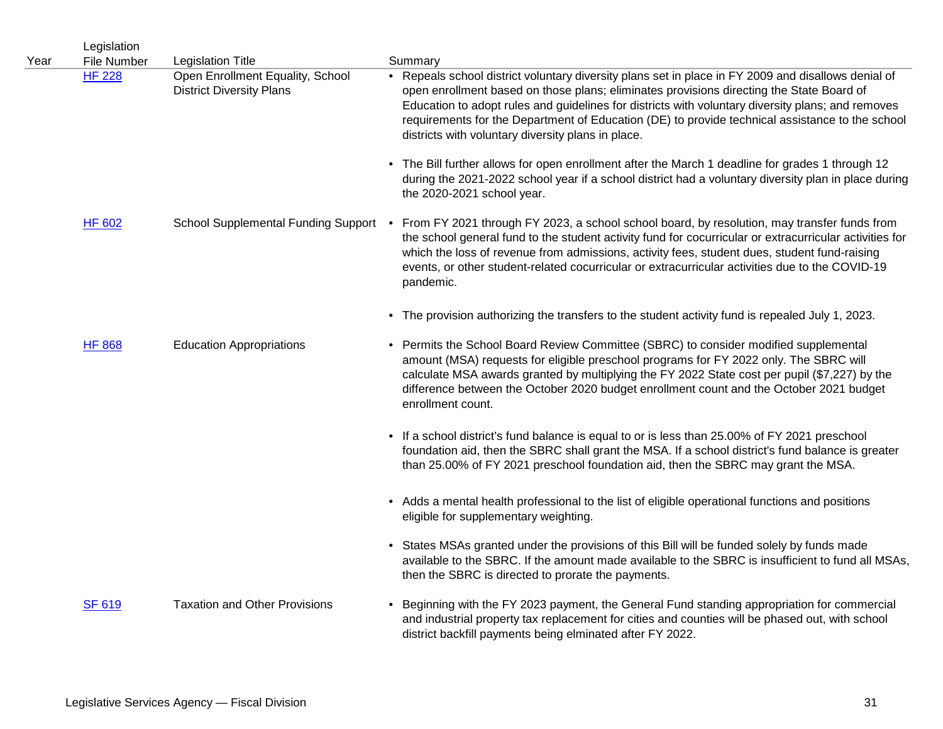| Year | Legislation<br><b>File Number</b> | <b>Legislation Title</b>                                            | Summary                                                                                                                                                                                                                                                                                                                                                                                                                                                       |
|------|-----------------------------------|---------------------------------------------------------------------|---------------------------------------------------------------------------------------------------------------------------------------------------------------------------------------------------------------------------------------------------------------------------------------------------------------------------------------------------------------------------------------------------------------------------------------------------------------|
|      | <b>HF 228</b>                     | Open Enrollment Equality, School<br><b>District Diversity Plans</b> | • Repeals school district voluntary diversity plans set in place in FY 2009 and disallows denial of<br>open enrollment based on those plans; eliminates provisions directing the State Board of<br>Education to adopt rules and guidelines for districts with voluntary diversity plans; and removes<br>requirements for the Department of Education (DE) to provide technical assistance to the school<br>districts with voluntary diversity plans in place. |
|      |                                   |                                                                     | • The Bill further allows for open enrollment after the March 1 deadline for grades 1 through 12<br>during the 2021-2022 school year if a school district had a voluntary diversity plan in place during<br>the 2020-2021 school year.                                                                                                                                                                                                                        |
|      | <b>HF 602</b>                     |                                                                     | School Supplemental Funding Support • From FY 2021 through FY 2023, a school school board, by resolution, may transfer funds from<br>the school general fund to the student activity fund for cocurricular or extracurricular activities for<br>which the loss of revenue from admissions, activity fees, student dues, student fund-raising<br>events, or other student-related cocurricular or extracurricular activities due to the COVID-19<br>pandemic.  |
|      |                                   |                                                                     | • The provision authorizing the transfers to the student activity fund is repealed July 1, 2023.                                                                                                                                                                                                                                                                                                                                                              |
|      | <b>HF 868</b>                     | <b>Education Appropriations</b>                                     | • Permits the School Board Review Committee (SBRC) to consider modified supplemental<br>amount (MSA) requests for eligible preschool programs for FY 2022 only. The SBRC will<br>calculate MSA awards granted by multiplying the FY 2022 State cost per pupil (\$7,227) by the<br>difference between the October 2020 budget enrollment count and the October 2021 budget<br>enrollment count.                                                                |
|      |                                   |                                                                     | • If a school district's fund balance is equal to or is less than 25.00% of FY 2021 preschool<br>foundation aid, then the SBRC shall grant the MSA. If a school district's fund balance is greater<br>than 25.00% of FY 2021 preschool foundation aid, then the SBRC may grant the MSA.                                                                                                                                                                       |
|      |                                   |                                                                     | • Adds a mental health professional to the list of eligible operational functions and positions<br>eligible for supplementary weighting.                                                                                                                                                                                                                                                                                                                      |
|      |                                   |                                                                     | • States MSAs granted under the provisions of this Bill will be funded solely by funds made<br>available to the SBRC. If the amount made available to the SBRC is insufficient to fund all MSAs,<br>then the SBRC is directed to prorate the payments.                                                                                                                                                                                                        |
|      | <b>SF 619</b>                     | <b>Taxation and Other Provisions</b>                                | Beginning with the FY 2023 payment, the General Fund standing appropriation for commercial<br>and industrial property tax replacement for cities and counties will be phased out, with school<br>district backfill payments being elminated after FY 2022.                                                                                                                                                                                                    |